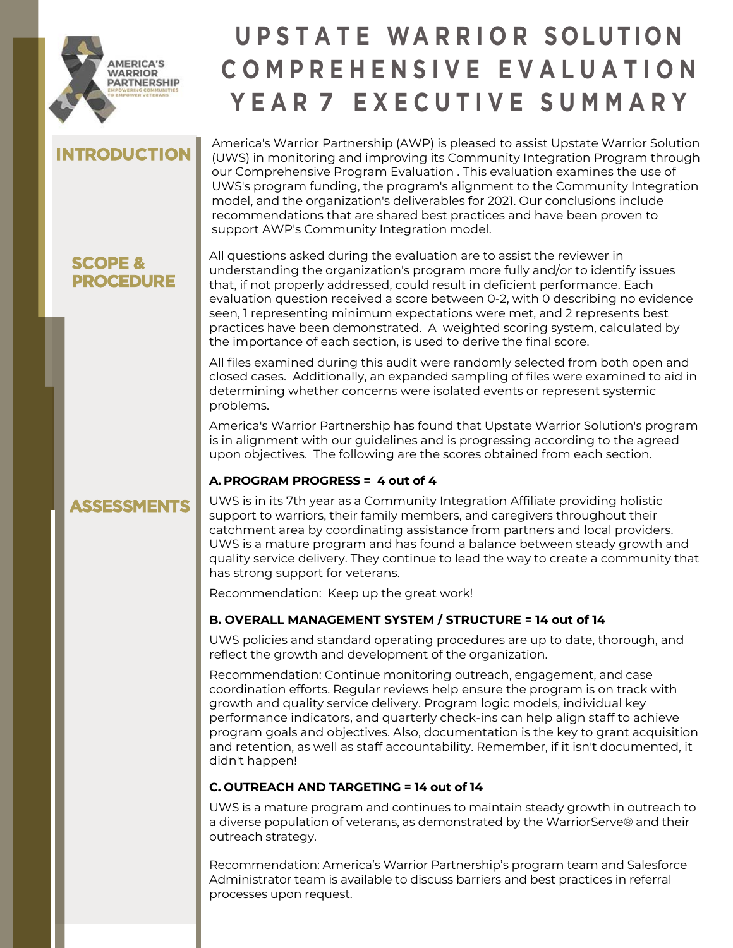

# **U P S T A T E WA R R I O R S O LUTI O N C O M P R E H E N S I V E E V A L U A T I O N Y E A R 7 E X E C U T I V E S U M M A R Y**

# **INTRODUCTION**

America's Warrior Partnership (AWP) is pleased to assist Upstate Warrior Solution (UWS) in monitoring and improving its Community Integration Program through our Comprehensive Program Evaluation . This evaluation examines the use of UWS's program funding, the program's alignment to the Community Integration model, and the organization's deliverables for 2021. Our conclusions include recommendations that are shared best practices and have been proven to support AWP's Community Integration model.

### **SCOPE & PROCEDURE**

**ASSESSMENTS**

All questions asked during the evaluation are to assist the reviewer in understanding the organization's program more fully and/or to identify issues that, if not properly addressed, could result in deficient performance. Each evaluation question received a score between 0-2, with 0 describing no evidence seen, 1 representing minimum expectations were met, and 2 represents best practices have been demonstrated. A weighted scoring system, calculated by the importance of each section, is used to derive the final score.

All files examined during this audit were randomly selected from both open and closed cases. Additionally, an expanded sampling of files were examined to aid in determining whether concerns were isolated events or represent systemic problems.

America's Warrior Partnership has found that Upstate Warrior Solution's program is in alignment with our guidelines and is progressing according to the agreed upon objectives. The following are the scores obtained from each section.

### **A. PROGRAM PROGRESS = 4 out of 4**

#### UWS is in its 7th year as a Community Integration Affiliate providing holistic support to warriors, their family members, and caregivers throughout their catchment area by coordinating assistance from partners and local providers. UWS is a mature program and has found a balance between steady growth and quality service delivery. They continue to lead the way to create a community that has strong support for veterans.

Recommendation: Keep up the great work!

### **B. OVERALL MANAGEMENT SYSTEM / STRUCTURE = 14 out of 14**

UWS policies and standard operating procedures are up to date, thorough, and reflect the growth and development of the organization.

Recommendation: Continue monitoring outreach, engagement, and case coordination efforts. Regular reviews help ensure the program is on track with growth and quality service delivery. Program logic models, individual key performance indicators, and quarterly check-ins can help align staff to achieve program goals and objectives. Also, documentation is the key to grant acquisition and retention, as well as staff accountability. Remember, if it isn't documented, it didn't happen!

### **C. OUTREACH AND TARGETING = 14 out of 14**

UWS is a mature program and continues to maintain steady growth in outreach to a diverse population of veterans, as demonstrated by the WarriorServe® and their outreach strategy.

Recommendation: America's Warrior Partnership's program team and Salesforce Administrator team is available to discuss barriers and best practices in referral processes upon request.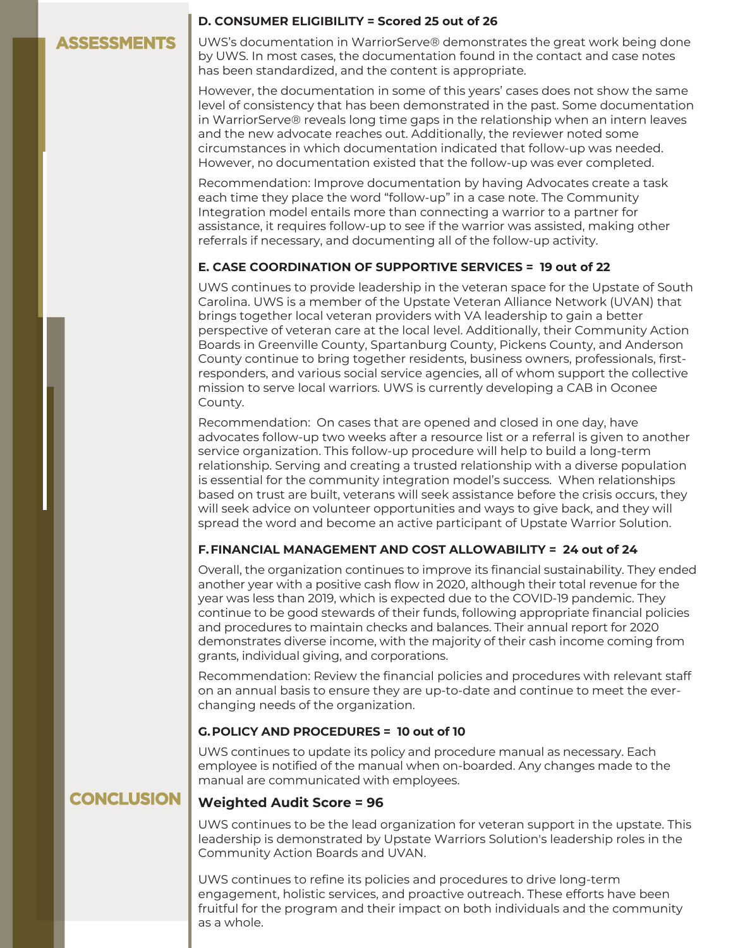### **ASSESSMENTS**

#### **D. CONSUMER ELIGIBILITY = Scored 25 out of 26**

UWS's documentation in WarriorServe® demonstrates the great work being done by UWS. In most cases, the documentation found in the contact and case notes has been standardized, and the content is appropriate.

However, the documentation in some of this years' cases does not show the same level of consistency that has been demonstrated in the past. Some documentation in WarriorServe® reveals long time gaps in the relationship when an intern leaves and the new advocate reaches out. Additionally, the reviewer noted some circumstances in which documentation indicated that follow-up was needed. However, no documentation existed that the follow-up was ever completed.

Recommendation: Improve documentation by having Advocates create a task each time they place the word "follow-up" in a case note. The Community Integration model entails more than connecting a warrior to a partner for assistance, it requires follow-up to see if the warrior was assisted, making other referrals if necessary, and documenting all of the follow-up activity.

#### **E. CASE COORDINATION OF SUPPORTIVE SERVICES = 19 out of 22**

UWS continues to provide leadership in the veteran space for the Upstate of South Carolina. UWS is a member of the Upstate Veteran Alliance Network (UVAN) that brings together local veteran providers with VA leadership to gain a better perspective of veteran care at the local level. Additionally, their Community Action Boards in Greenville County, Spartanburg County, Pickens County, and Anderson County continue to bring together residents, business owners, professionals, firstresponders, and various social service agencies, all of whom support the collective mission to serve local warriors. UWS is currently developing a CAB in Oconee County.

Recommendation: On cases that are opened and closed in one day, have advocates follow-up two weeks after a resource list or a referral is given to another service organization. This follow-up procedure will help to build a long-term relationship. Serving and creating a trusted relationship with a diverse population is essential for the community integration model's success. When relationships based on trust are built, veterans will seek assistance before the crisis occurs, they will seek advice on volunteer opportunities and ways to give back, and they will spread the word and become an active participant of Upstate Warrior Solution.

#### **F. FINANCIAL MANAGEMENT AND COST ALLOWABILITY = 24 out of 24**

Overall, the organization continues to improve its financial sustainability. They ended another year with a positive cash flow in 2020, although their total revenue for the year was less than 2019, which is expected due to the COVID-19 pandemic. They continue to be good stewards of their funds, following appropriate financial policies and procedures to maintain checks and balances. Their annual report for 2020 demonstrates diverse income, with the majority of their cash income coming from grants, individual giving, and corporations.

Recommendation: Review the financial policies and procedures with relevant staff on an annual basis to ensure they are up-to-date and continue to meet the everchanging needs of the organization.

#### **G.POLICY AND PROCEDURES = 10 out of 10**

UWS continues to update its policy and procedure manual as necessary. Each employee is notified of the manual when on-boarded. Any changes made to the manual are communicated with employees.

### **CONCLUSION**

#### **Weighted Audit Score = 96**

UWS continues to be the lead organization for veteran support in the upstate. This leadership is demonstrated by Upstate Warriors Solution's leadership roles in the Community Action Boards and UVAN.

UWS continues to refine its policies and procedures to drive long-term engagement, holistic services, and proactive outreach. These efforts have been fruitful for the program and their impact on both individuals and the community as a whole.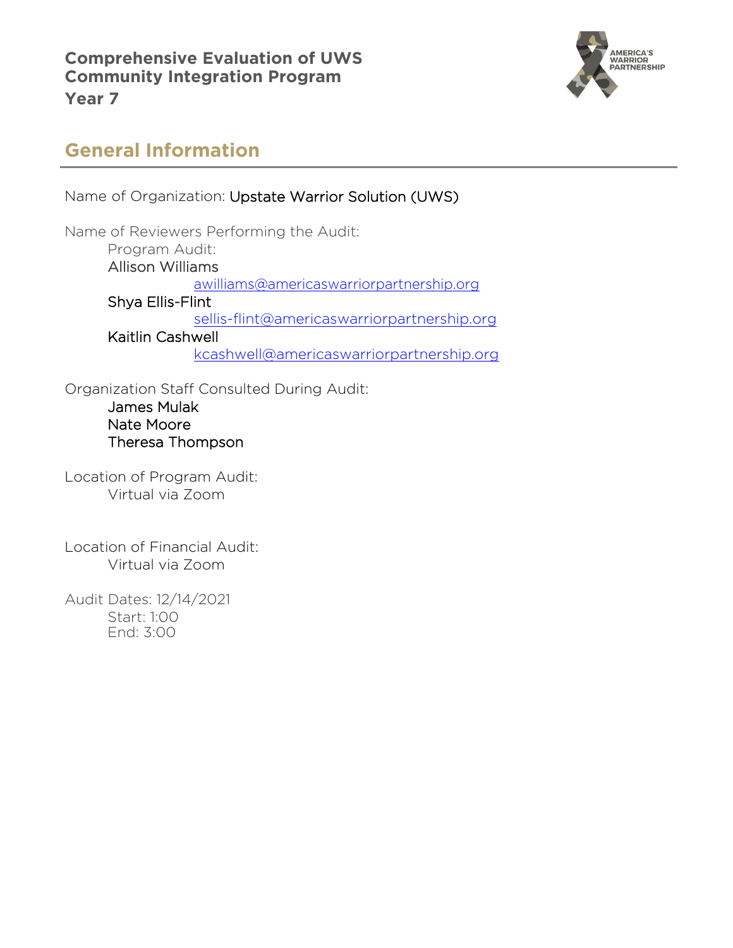**Comprehensive Evaluation of UWS Community Integration Program Year 7** 



# **General Information**

Name of Organization: Upstate Warrior Solution (UWS) Name of Reviewers Performing the Audit: Program Audit: Allison Williams [awilliams@americaswarriorpartnership.org](mailto:awilliams@americaswarriorpartnership.org) Shya Ellis-Flint [sellis-flint@americaswarriorpartnership.org](mailto:sellis-flint@americaswarriorpartnership.org) Kaitlin Cashwell [kcashwell@americaswarriorpartnership.org](mailto:kcashwell@americaswarriorpartnership.org)

Organization Staff Consulted During Audit: James Mulak Nate Moore Theresa Thompson

Location of Program Audit: Virtual via Zoom

Location of Financial Audit: Virtual via Zoom

Audit Dates: 12/14/2021 Start: 1:00 End: 3:00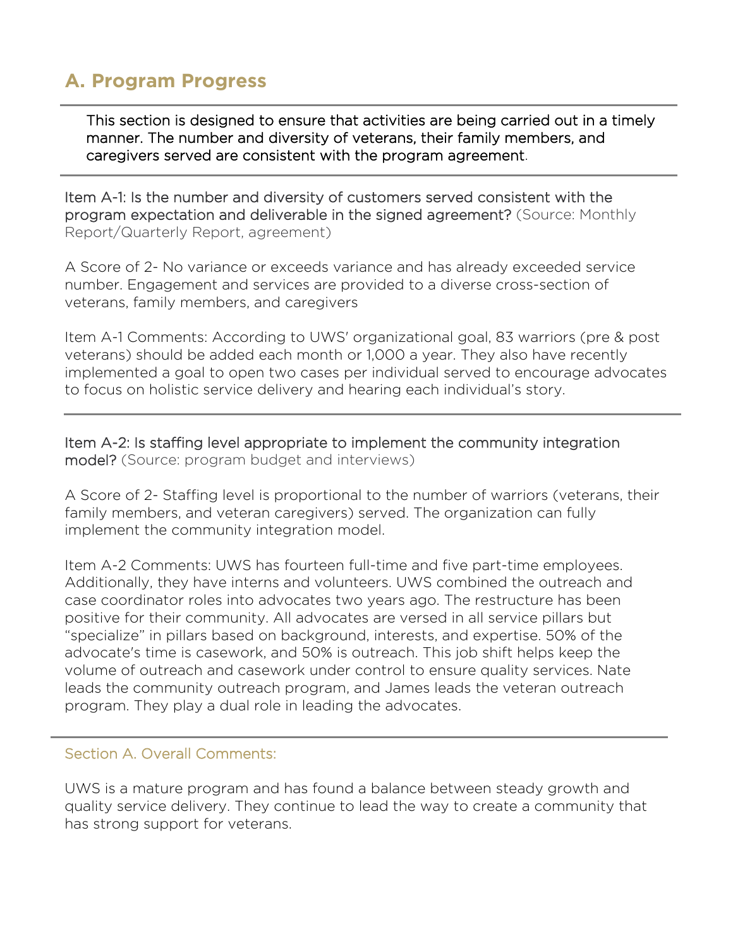# **A. Program Progress**

This section is designed to ensure that activities are being carried out in a timely manner. The number and diversity of veterans, their family members, and caregivers served are consistent with the program agreement.

Item A-1: Is the number and diversity of customers served consistent with the program expectation and deliverable in the signed agreement? (Source: Monthly Report/Quarterly Report, agreement)

A Score of 2- No variance or exceeds variance and has already exceeded service number. Engagement and services are provided to a diverse cross-section of veterans, family members, and caregivers

Item A-1 Comments: According to UWS' organizational goal, 83 warriors (pre & post veterans) should be added each month or 1,000 a year. They also have recently implemented a goal to open two cases per individual served to encourage advocates to focus on holistic service delivery and hearing each individual's story.

Item A-2: Is staffing level appropriate to implement the community integration model? (Source: program budget and interviews)

A Score of 2- Staffing level is proportional to the number of warriors (veterans, their family members, and veteran caregivers) served. The organization can fully implement the community integration model.

Item A-2 Comments: UWS has fourteen full-time and five part-time employees. Additionally, they have interns and volunteers. UWS combined the outreach and case coordinator roles into advocates two years ago. The restructure has been positive for their community. All advocates are versed in all service pillars but "specialize" in pillars based on background, interests, and expertise. 50% of the advocate's time is casework, and 50% is outreach. This job shift helps keep the volume of outreach and casework under control to ensure quality services. Nate leads the community outreach program, and James leads the veteran outreach program. They play a dual role in leading the advocates.

#### ł Section A. Overall Comments:

UWS is a mature program and has found a balance between steady growth and quality service delivery. They continue to lead the way to create a community that has strong support for veterans.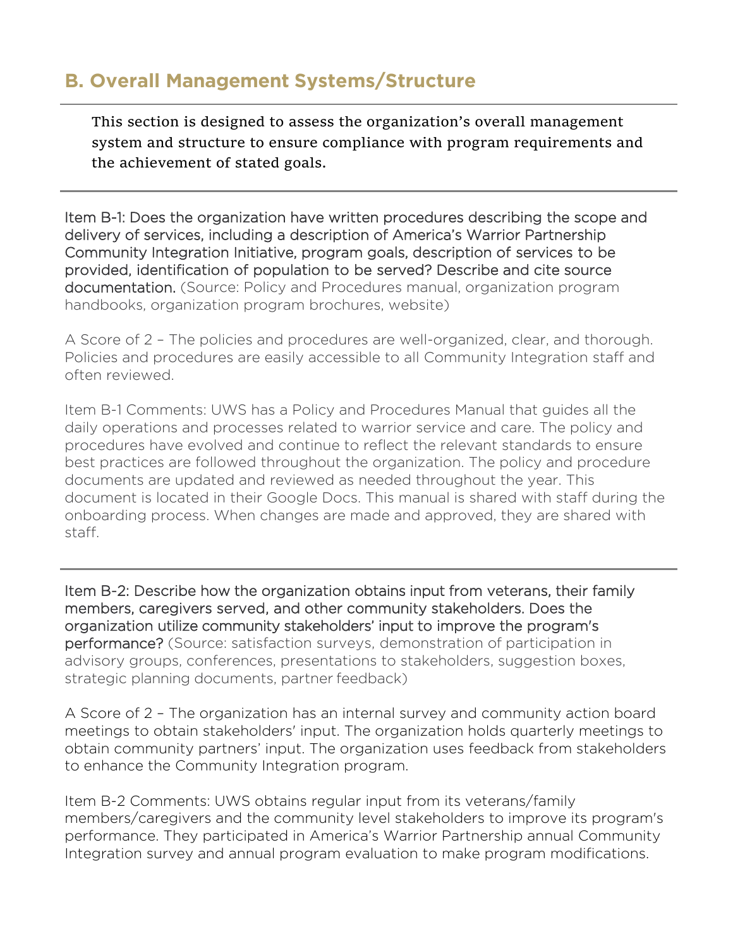### **B. Overall Management Systems/Structure**

This section is designed to assess the organization's overall management system and structure to ensure compliance with program requirements and the achievement of stated goals.

Item B-1: Does the organization have written procedures describing the scope and delivery of services, including a description of America's Warrior Partnership Community Integration Initiative, program goals, description of services to be provided, identification of population to be served? Describe and cite source documentation. (Source: Policy and Procedures manual, organization program handbooks, organization program brochures, website)

A Score of 2 – The policies and procedures are well-organized, clear, and thorough. Policies and procedures are easily accessible to all Community Integration staff and often reviewed.

Item B-1 Comments: UWS has a Policy and Procedures Manual that guides all the daily operations and processes related to warrior service and care. The policy and procedures have evolved and continue to reflect the relevant standards to ensure best practices are followed throughout the organization. The policy and procedure documents are updated and reviewed as needed throughout the year. This document is located in their Google Docs. This manual is shared with staff during the onboarding process. When changes are made and approved, they are shared with staff.

Item B-2: Describe how the organization obtains input from veterans, their family members, caregivers served, and other community stakeholders. Does the organization utilize community stakeholders' input to improve the program's performance? (Source: satisfaction surveys, demonstration of participation in advisory groups, conferences, presentations to stakeholders, suggestion boxes, strategic planning documents, partner feedback)

A Score of 2 – The organization has an internal survey and community action board meetings to obtain stakeholders' input. The organization holds quarterly meetings to obtain community partners' input. The organization uses feedback from stakeholders to enhance the Community Integration program.

Item B-2 Comments: UWS obtains regular input from its veterans/family members/caregivers and the community level stakeholders to improve its program's performance. They participated in America's Warrior Partnership annual Community Integration survey and annual program evaluation to make program modifications.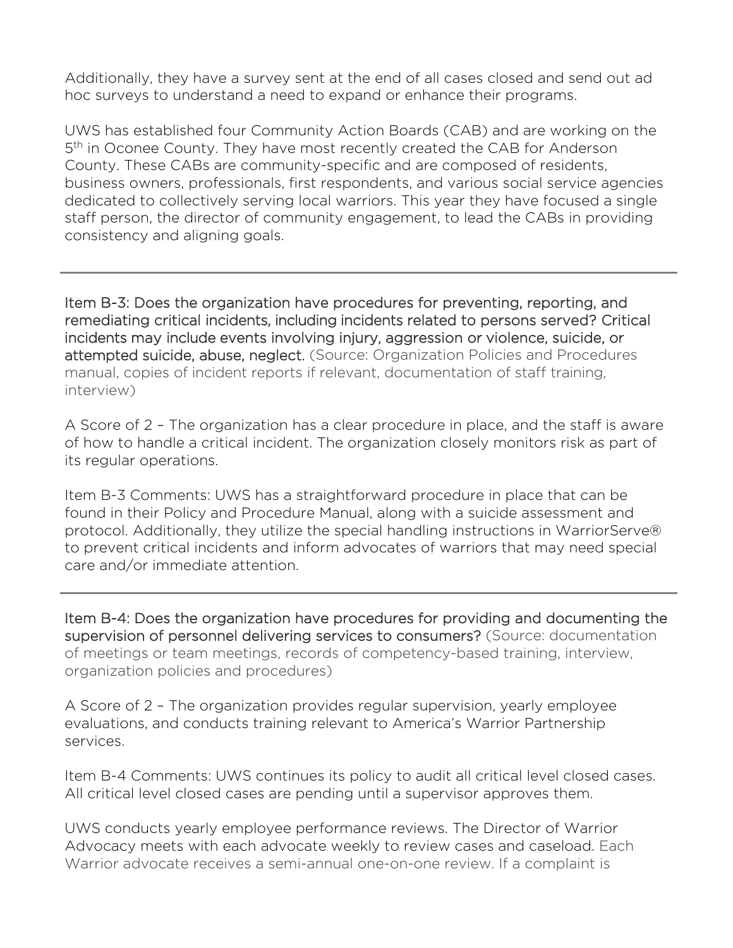Additionally, they have a survey sent at the end of all cases closed and send out ad hoc surveys to understand a need to expand or enhance their programs.

UWS has established four Community Action Boards (CAB) and are working on the 5<sup>th</sup> in Oconee County. They have most recently created the CAB for Anderson County. These CABs are community-specific and are composed of residents, business owners, professionals, first respondents, and various social service agencies dedicated to collectively serving local warriors. This year they have focused a single staff person, the director of community engagement, to lead the CABs in providing consistency and aligning goals.

Item B-3: Does the organization have procedures for preventing, reporting, and remediating critical incidents, including incidents related to persons served? Critical incidents may include events involving injury, aggression or violence, suicide, or attempted suicide, abuse, neglect. (Source: Organization Policies and Procedures manual, copies of incident reports if relevant, documentation of staff training, interview)

A Score of 2 – The organization has a clear procedure in place, and the staff is aware of how to handle a critical incident. The organization closely monitors risk as part of its regular operations.

Item B-3 Comments: UWS has a straightforward procedure in place that can be found in their Policy and Procedure Manual, along with a suicide assessment and protocol. Additionally, they utilize the special handling instructions in WarriorServe® to prevent critical incidents and inform advocates of warriors that may need special care and/or immediate attention.

Item B-4: Does the organization have procedures for providing and documenting the supervision of personnel delivering services to consumers? (Source: documentation of meetings or team meetings, records of competency-based training, interview, organization policies and procedures)

A Score of 2 – The organization provides regular supervision, yearly employee evaluations, and conducts training relevant to America's Warrior Partnership services.

Item B-4 Comments: UWS continues its policy to audit all critical level closed cases. All critical level closed cases are pending until a supervisor approves them.

UWS conducts yearly employee performance reviews. The Director of Warrior Advocacy meets with each advocate weekly to review cases and caseload. Each Warrior advocate receives a semi-annual one-on-one review. If a complaint is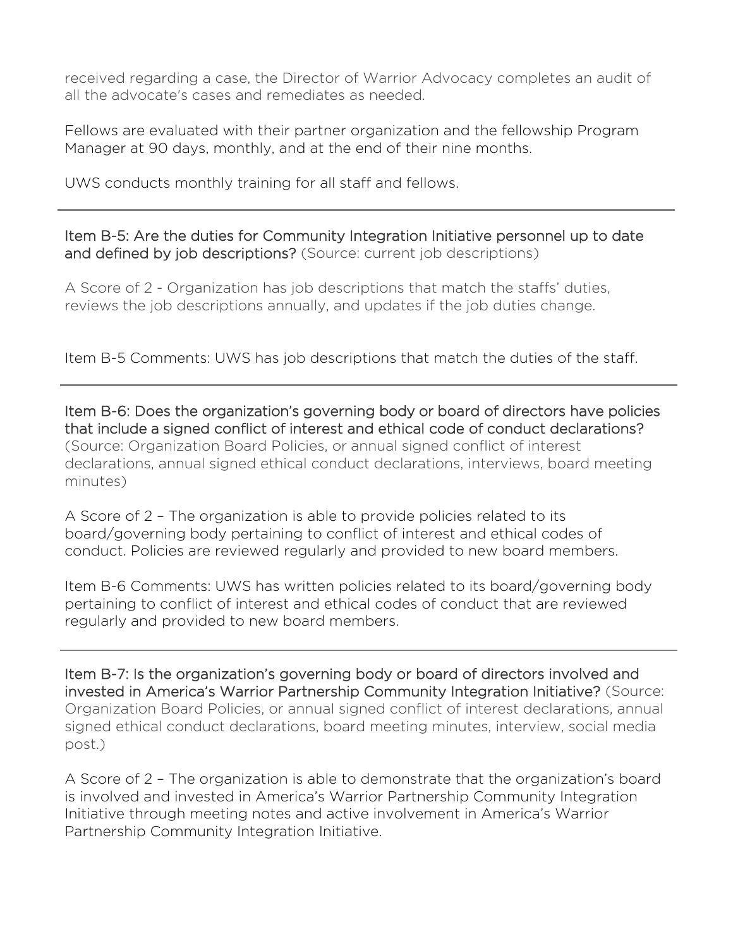received regarding a case, the Director of Warrior Advocacy completes an audit of all the advocate's cases and remediates as needed.

Fellows are evaluated with their partner organization and the fellowship Program Manager at 90 days, monthly, and at the end of their nine months.

UWS conducts monthly training for all staff and fellows.

Item B-5: Are the duties for Community Integration Initiative personnel up to date and defined by job descriptions? (Source: current job descriptions)

A Score of 2 - Organization has job descriptions that match the staffs' duties, reviews the job descriptions annually, and updates if the job duties change.

Item B-5 Comments: UWS has job descriptions that match the duties of the staff.

Item B-6: Does the organization's governing body or board of directors have policies that include a signed conflict of interest and ethical code of conduct declarations? (Source: Organization Board Policies, or annual signed conflict of interest declarations, annual signed ethical conduct declarations, interviews, board meeting minutes)

A Score of 2 – The organization is able to provide policies related to its board/governing body pertaining to conflict of interest and ethical codes of conduct. Policies are reviewed regularly and provided to new board members.

Item B-6 Comments: UWS has written policies related to its board/governing body pertaining to conflict of interest and ethical codes of conduct that are reviewed regularly and provided to new board members.

Item B-7: Is the organization's governing body or board of directors involved and invested in America's Warrior Partnership Community Integration Initiative? (Source: Organization Board Policies, or annual signed conflict of interest declarations, annual signed ethical conduct declarations, board meeting minutes, interview, social media post.)

A Score of 2 – The organization is able to demonstrate that the organization's board is involved and invested in America's Warrior Partnership Community Integration Initiative through meeting notes and active involvement in America's Warrior Partnership Community Integration Initiative.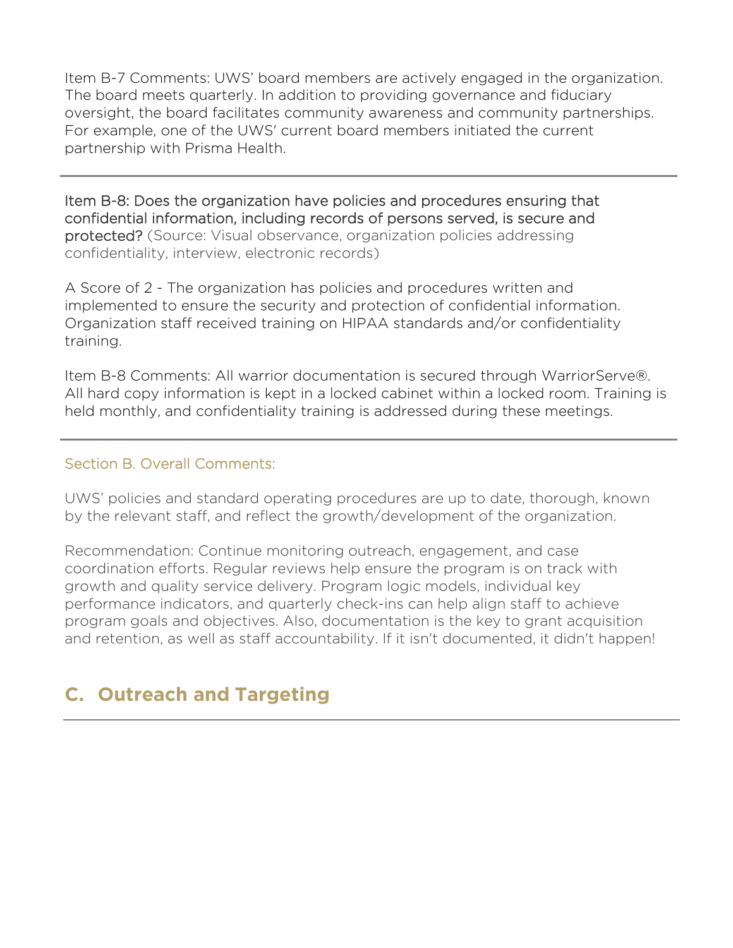Item B-7 Comments: UWS' board members are actively engaged in the organization. The board meets quarterly. In addition to providing governance and fiduciary oversight, the board facilitates community awareness and community partnerships. For example, one of the UWS' current board members initiated the current partnership with Prisma Health.

Item B-8: Does the organization have policies and procedures ensuring that confidential information, including records of persons served, is secure and protected? (Source: Visual observance, organization policies addressing confidentiality, interview, electronic records)

A Score of 2 - The organization has policies and procedures written and implemented to ensure the security and protection of confidential information. Organization staff received training on HIPAA standards and/or confidentiality training.

Item B-8 Comments: All warrior documentation is secured through WarriorServe®. All hard copy information is kept in a locked cabinet within a locked room. Training is held monthly, and confidentiality training is addressed during these meetings.

#### Section B. Overall Comments:

Ξ

UWS' policies and standard operating procedures are up to date, thorough, known by the relevant staff, and reflect the growth/development of the organization.

Recommendation: Continue monitoring outreach, engagement, and case coordination efforts. Regular reviews help ensure the program is on track with growth and quality service delivery. Program logic models, individual key performance indicators, and quarterly check-ins can help align staff to achieve program goals and objectives. Also, documentation is the key to grant acquisition and retention, as well as staff accountability. If it isn't documented, it didn't happen!

# **C. Outreach and Targeting**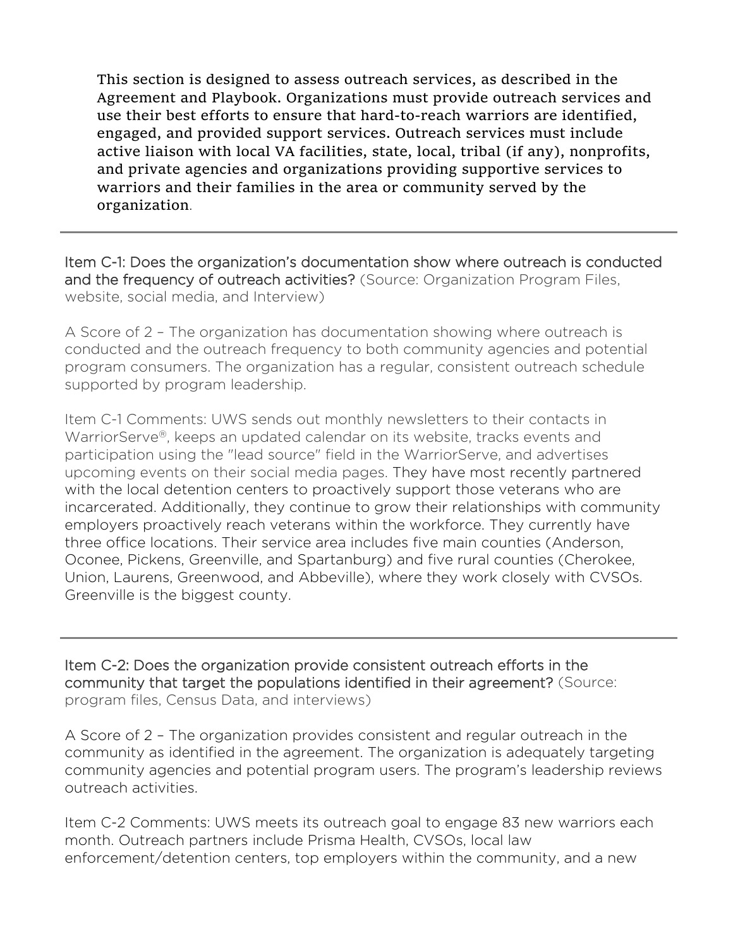This section is designed to assess outreach services, as described in the Agreement and Playbook. Organizations must provide outreach services and use their best efforts to ensure that hard-to-reach warriors are identified, engaged, and provided support services. Outreach services must include active liaison with local VA facilities, state, local, tribal (if any), nonprofits, and private agencies and organizations providing supportive services to warriors and their families in the area or community served by the organization.

Item C-1: Does the organization's documentation show where outreach is conducted and the frequency of outreach activities? (Source: Organization Program Files, website, social media, and Interview)

A Score of 2 – The organization has documentation showing where outreach is conducted and the outreach frequency to both community agencies and potential program consumers. The organization has a regular, consistent outreach schedule supported by program leadership.

Item C-1 Comments: UWS sends out monthly newsletters to their contacts in WarriorServe®, keeps an updated calendar on its website, tracks events and participation using the "lead source" field in the WarriorServe, and advertises upcoming events on their social media pages. They have most recently partnered with the local detention centers to proactively support those veterans who are incarcerated. Additionally, they continue to grow their relationships with community employers proactively reach veterans within the workforce. They currently have three office locations. Their service area includes five main counties (Anderson, Oconee, Pickens, Greenville, and Spartanburg) and five rural counties (Cherokee, Union, Laurens, Greenwood, and Abbeville), where they work closely with CVSOs. Greenville is the biggest county.

Item C-2: Does the organization provide consistent outreach efforts in the community that target the populations identified in their agreement? (Source: program files, Census Data, and interviews)

A Score of 2 – The organization provides consistent and regular outreach in the community as identified in the agreement. The organization is adequately targeting community agencies and potential program users. The program's leadership reviews outreach activities.

Item C-2 Comments: UWS meets its outreach goal to engage 83 new warriors each month. Outreach partners include Prisma Health, CVSOs, local law enforcement/detention centers, top employers within the community, and a new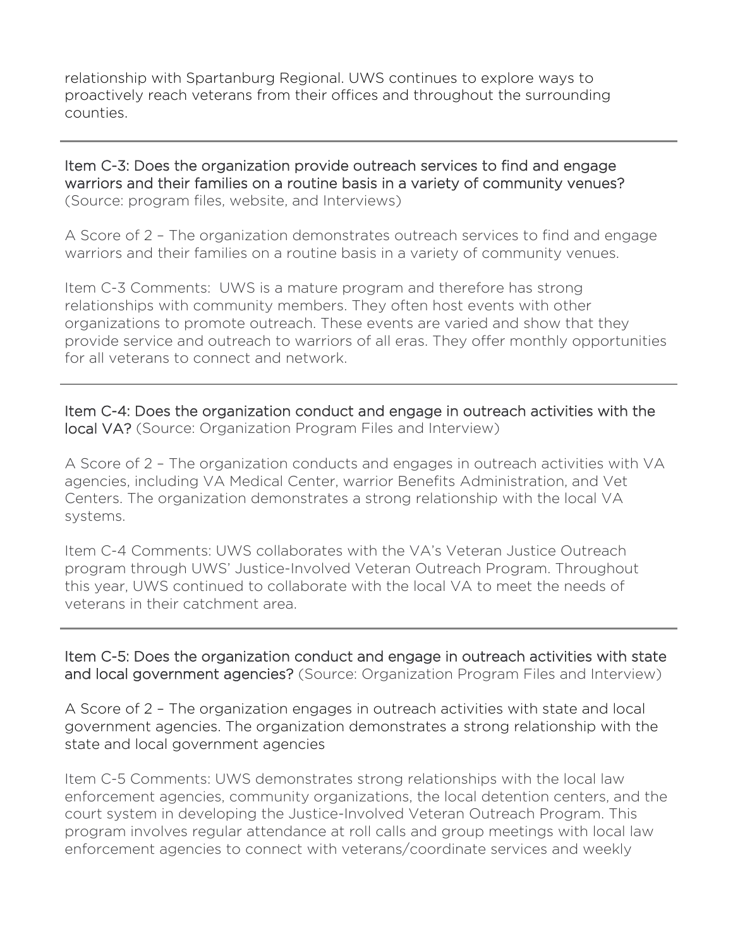relationship with Spartanburg Regional. UWS continues to explore ways to proactively reach veterans from their offices and throughout the surrounding counties.

Item C-3: Does the organization provide outreach services to find and engage warriors and their families on a routine basis in a variety of community venues? (Source: program files, website, and Interviews)

A Score of 2 – The organization demonstrates outreach services to find and engage warriors and their families on a routine basis in a variety of community venues.

Item C-3 Comments: UWS is a mature program and therefore has strong relationships with community members. They often host events with other organizations to promote outreach. These events are varied and show that they provide service and outreach to warriors of all eras. They offer monthly opportunities for all veterans to connect and network.

Item C-4: Does the organization conduct and engage in outreach activities with the local VA? (Source: Organization Program Files and Interview)

A Score of 2 – The organization conducts and engages in outreach activities with VA agencies, including VA Medical Center, warrior Benefits Administration, and Vet Centers. The organization demonstrates a strong relationship with the local VA systems.

Item C-4 Comments: UWS collaborates with the VA's Veteran Justice Outreach program through UWS' Justice-Involved Veteran Outreach Program. Throughout this year, UWS continued to collaborate with the local VA to meet the needs of veterans in their catchment area.

Item C-5: Does the organization conduct and engage in outreach activities with state and local government agencies? (Source: Organization Program Files and Interview)

A Score of 2 – The organization engages in outreach activities with state and local government agencies. The organization demonstrates a strong relationship with the state and local government agencies

Item C-5 Comments: UWS demonstrates strong relationships with the local law enforcement agencies, community organizations, the local detention centers, and the court system in developing the Justice-Involved Veteran Outreach Program. This program involves regular attendance at roll calls and group meetings with local law enforcement agencies to connect with veterans/coordinate services and weekly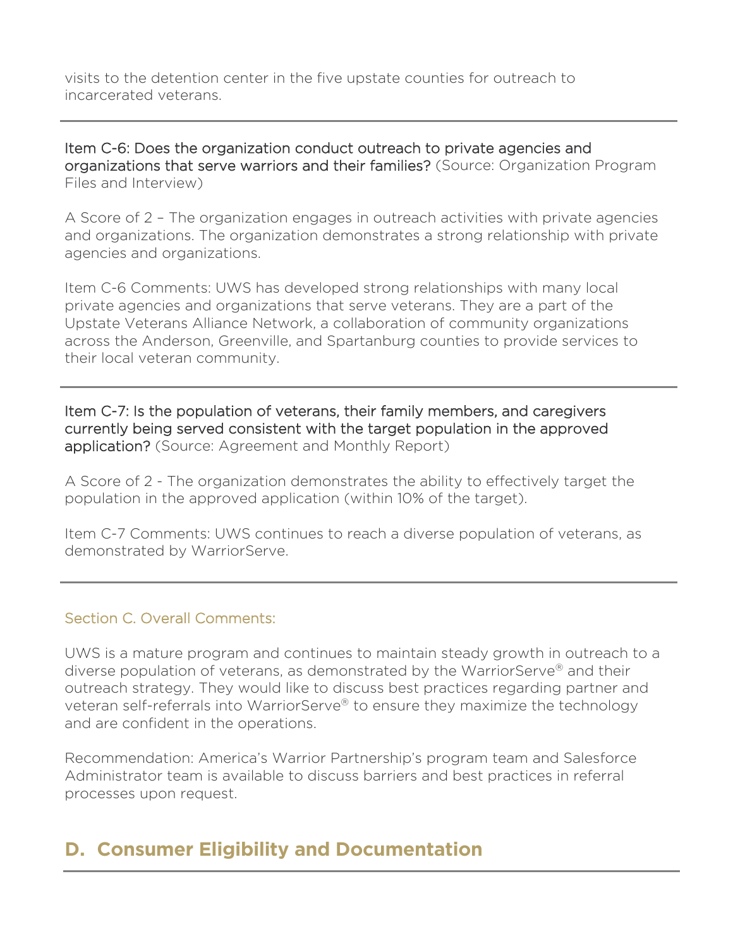visits to the detention center in the five upstate counties for outreach to incarcerated veterans.

Item C-6: Does the organization conduct outreach to private agencies and organizations that serve warriors and their families? (Source: Organization Program Files and Interview)

A Score of 2 – The organization engages in outreach activities with private agencies and organizations. The organization demonstrates a strong relationship with private agencies and organizations.

Item C-6 Comments: UWS has developed strong relationships with many local private agencies and organizations that serve veterans. They are a part of the Upstate Veterans Alliance Network, a collaboration of community organizations across the Anderson, Greenville, and Spartanburg counties to provide services to their local veteran community.

Item C-7: Is the population of veterans, their family members, and caregivers currently being served consistent with the target population in the approved application? (Source: Agreement and Monthly Report)

A Score of 2 - The organization demonstrates the ability to effectively target the population in the approved application (within 10% of the target).

Item C-7 Comments: UWS continues to reach a diverse population of veterans, as demonstrated by WarriorServe.

### Section C. Overall Comments:

UWS is a mature program and continues to maintain steady growth in outreach to a diverse population of veterans, as demonstrated by the WarriorServe® and their outreach strategy. They would like to discuss best practices regarding partner and veteran self-referrals into WarriorServe® to ensure they maximize the technology and are confident in the operations.

Recommendation: America's Warrior Partnership's program team and Salesforce Administrator team is available to discuss barriers and best practices in referral processes upon request.

# **D. Consumer Eligibility and Documentation**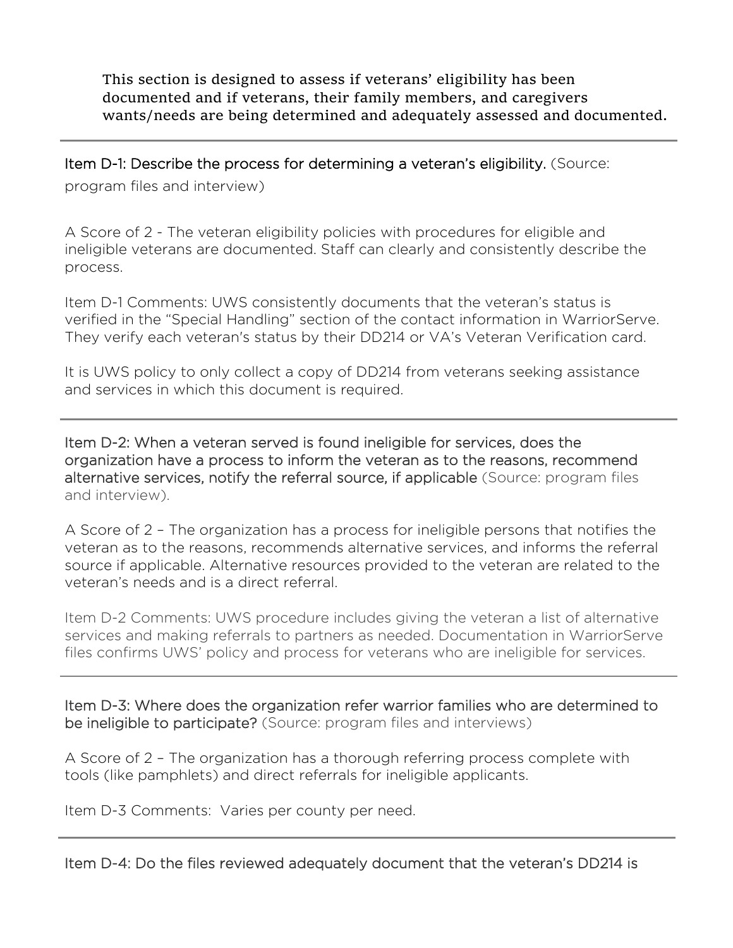This section is designed to assess if veterans' eligibility has been documented and if veterans, their family members, and caregivers wants/needs are being determined and adequately assessed and documented.

Item D-1: Describe the process for determining a veteran's eligibility. (Source:

program files and interview)

A Score of 2 - The veteran eligibility policies with procedures for eligible and ineligible veterans are documented. Staff can clearly and consistently describe the process.

Item D-1 Comments: UWS consistently documents that the veteran's status is verified in the "Special Handling" section of the contact information in WarriorServe. They verify each veteran's status by their DD214 or VA's Veteran Verification card.

It is UWS policy to only collect a copy of DD214 from veterans seeking assistance and services in which this document is required.

Item D-2: When a veteran served is found ineligible for services, does the organization have a process to inform the veteran as to the reasons, recommend alternative services, notify the referral source, if applicable (Source: program files and interview).

A Score of 2 – The organization has a process for ineligible persons that notifies the veteran as to the reasons, recommends alternative services, and informs the referral source if applicable. Alternative resources provided to the veteran are related to the veteran's needs and is a direct referral.

Item D-2 Comments: UWS procedure includes giving the veteran a list of alternative services and making referrals to partners as needed. Documentation in WarriorServe files confirms UWS' policy and process for veterans who are ineligible for services.

Item D-3: Where does the organization refer warrior families who are determined to be ineligible to participate? (Source: program files and interviews)

A Score of 2 – The organization has a thorough referring process complete with tools (like pamphlets) and direct referrals for ineligible applicants.

Item D-3 Comments: Varies per county per need.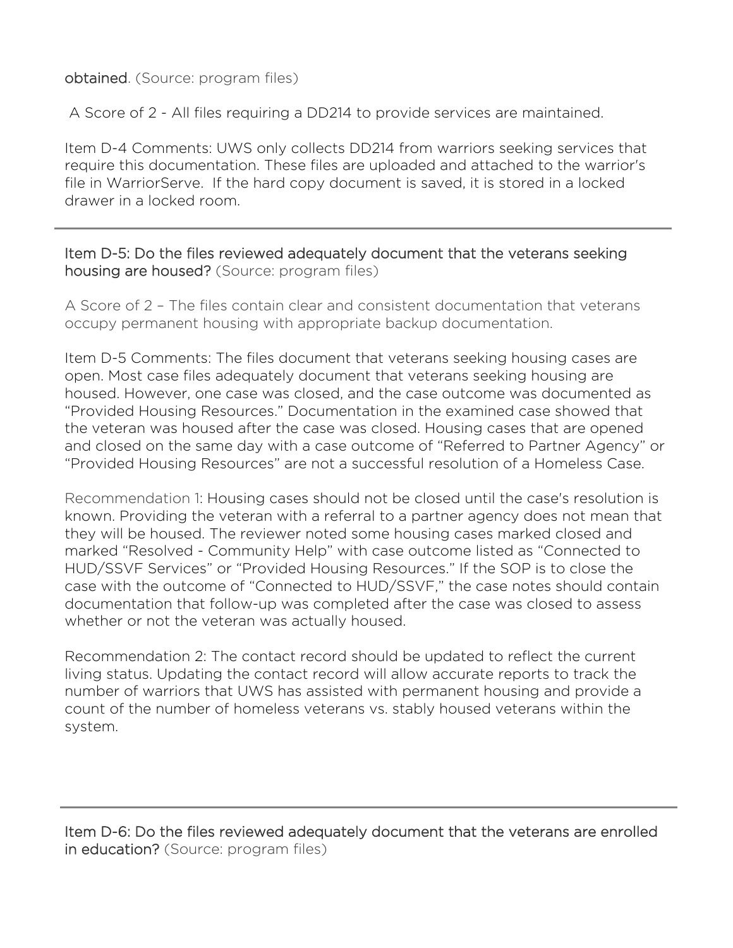### obtained. (Source: program files)

Ξ

A Score of 2 - All files requiring a DD214 to provide services are maintained.

Item D-4 Comments: UWS only collects DD214 from warriors seeking services that require this documentation. These files are uploaded and attached to the warrior's file in WarriorServe. If the hard copy document is saved, it is stored in a locked drawer in a locked room.

### Item D-5: Do the files reviewed adequately document that the veterans seeking housing are housed? (Source: program files)

A Score of 2 – The files contain clear and consistent documentation that veterans occupy permanent housing with appropriate backup documentation.

Item D-5 Comments: The files document that veterans seeking housing cases are open. Most case files adequately document that veterans seeking housing are housed. However, one case was closed, and the case outcome was documented as "Provided Housing Resources." Documentation in the examined case showed that the veteran was housed after the case was closed. Housing cases that are opened and closed on the same day with a case outcome of "Referred to Partner Agency" or "Provided Housing Resources" are not a successful resolution of a Homeless Case.

Recommendation 1: Housing cases should not be closed until the case's resolution is known. Providing the veteran with a referral to a partner agency does not mean that they will be housed. The reviewer noted some housing cases marked closed and marked "Resolved - Community Help" with case outcome listed as "Connected to HUD/SSVF Services" or "Provided Housing Resources." If the SOP is to close the case with the outcome of "Connected to HUD/SSVF," the case notes should contain documentation that follow-up was completed after the case was closed to assess whether or not the veteran was actually housed.

Recommendation 2: The contact record should be updated to reflect the current living status. Updating the contact record will allow accurate reports to track the number of warriors that UWS has assisted with permanent housing and provide a count of the number of homeless veterans vs. stably housed veterans within the system.

Item D-6: Do the files reviewed adequately document that the veterans are enrolled in education? (Source: program files)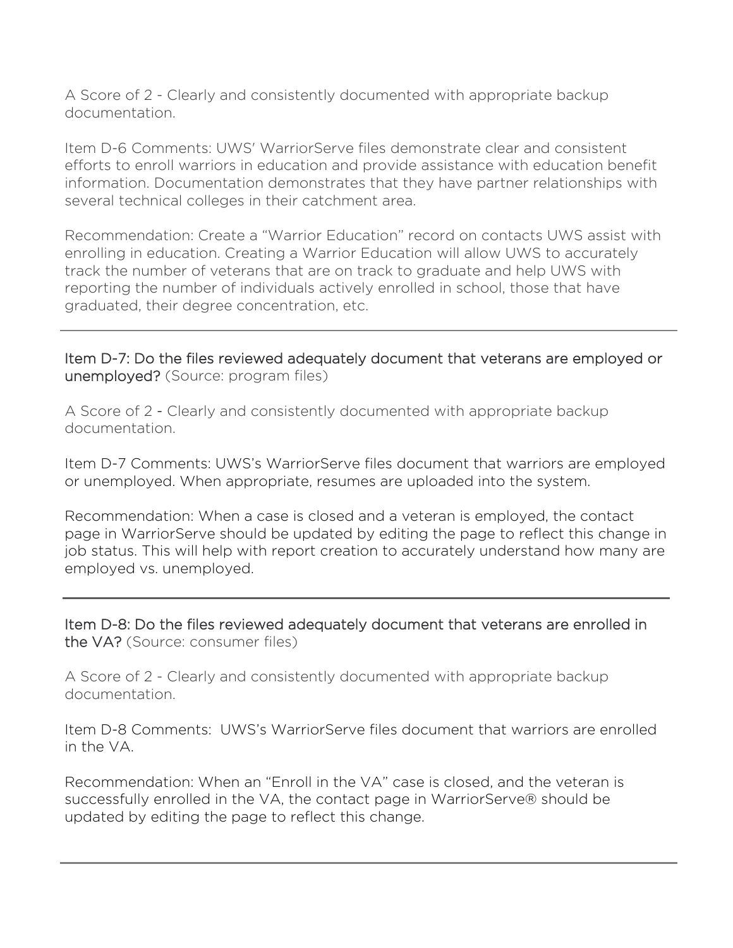A Score of 2 - Clearly and consistently documented with appropriate backup documentation.

Item D-6 Comments: UWS' WarriorServe files demonstrate clear and consistent efforts to enroll warriors in education and provide assistance with education benefit information. Documentation demonstrates that they have partner relationships with several technical colleges in their catchment area.

Recommendation: Create a "Warrior Education" record on contacts UWS assist with enrolling in education. Creating a Warrior Education will allow UWS to accurately track the number of veterans that are on track to graduate and help UWS with reporting the number of individuals actively enrolled in school, those that have graduated, their degree concentration, etc.

Item D-7: Do the files reviewed adequately document that veterans are employed or unemployed? (Source: program files)

A Score of 2 - Clearly and consistently documented with appropriate backup documentation.

Item D-7 Comments: UWS's WarriorServe files document that warriors are employed or unemployed. When appropriate, resumes are uploaded into the system.

Recommendation: When a case is closed and a veteran is employed, the contact page in WarriorServe should be updated by editing the page to reflect this change in job status. This will help with report creation to accurately understand how many are employed vs. unemployed.

Item D-8: Do the files reviewed adequately document that veterans are enrolled in the VA? (Source: consumer files)

A Score of 2 - Clearly and consistently documented with appropriate backup documentation.

Item D-8 Comments: UWS's WarriorServe files document that warriors are enrolled in the VA.

Recommendation: When an "Enroll in the VA" case is closed, and the veteran is successfully enrolled in the VA, the contact page in WarriorServe® should be updated by editing the page to reflect this change.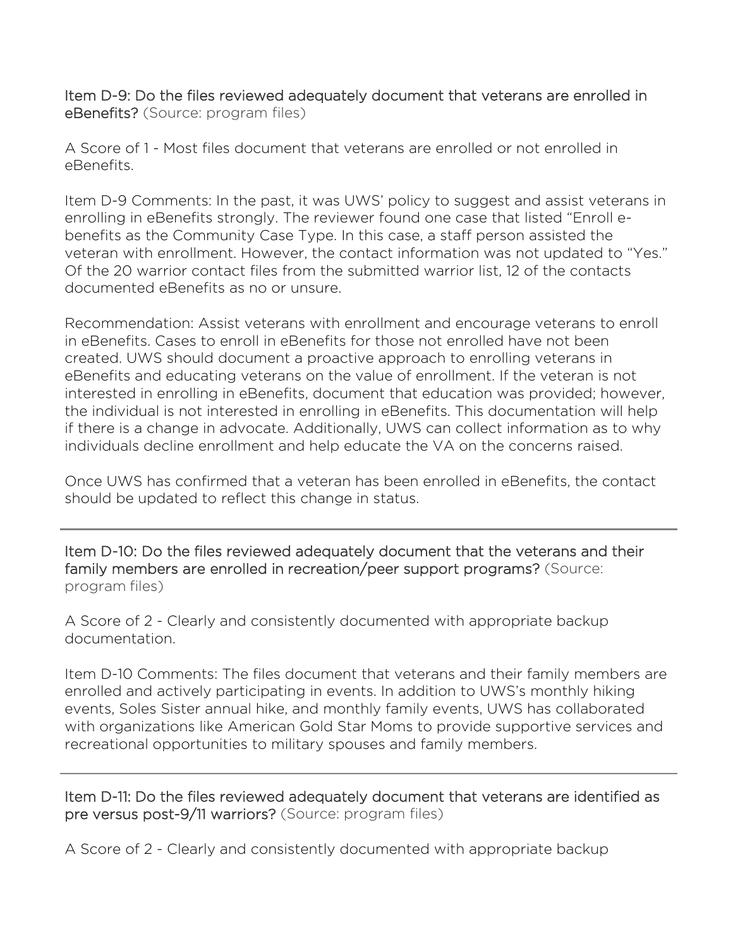Item D-9: Do the files reviewed adequately document that veterans are enrolled in eBenefits? (Source: program files)

A Score of 1 - Most files document that veterans are enrolled or not enrolled in eBenefits.

Item D-9 Comments: In the past, it was UWS' policy to suggest and assist veterans in enrolling in eBenefits strongly. The reviewer found one case that listed "Enroll ebenefits as the Community Case Type. In this case, a staff person assisted the veteran with enrollment. However, the contact information was not updated to "Yes." Of the 20 warrior contact files from the submitted warrior list, 12 of the contacts documented eBenefits as no or unsure.

Recommendation: Assist veterans with enrollment and encourage veterans to enroll in eBenefits. Cases to enroll in eBenefits for those not enrolled have not been created. UWS should document a proactive approach to enrolling veterans in eBenefits and educating veterans on the value of enrollment. If the veteran is not interested in enrolling in eBenefits, document that education was provided; however, the individual is not interested in enrolling in eBenefits. This documentation will help if there is a change in advocate. Additionally, UWS can collect information as to why individuals decline enrollment and help educate the VA on the concerns raised.

Once UWS has confirmed that a veteran has been enrolled in eBenefits, the contact should be updated to reflect this change in status.

Item D-10: Do the files reviewed adequately document that the veterans and their family members are enrolled in recreation/peer support programs? (Source: program files)

A Score of 2 - Clearly and consistently documented with appropriate backup documentation.

Item D-10 Comments: The files document that veterans and their family members are enrolled and actively participating in events. In addition to UWS's monthly hiking events, Soles Sister annual hike, and monthly family events, UWS has collaborated with organizations like American Gold Star Moms to provide supportive services and recreational opportunities to military spouses and family members.

Item D-11: Do the files reviewed adequately document that veterans are identified as pre versus post-9/11 warriors? (Source: program files)

A Score of 2 - Clearly and consistently documented with appropriate backup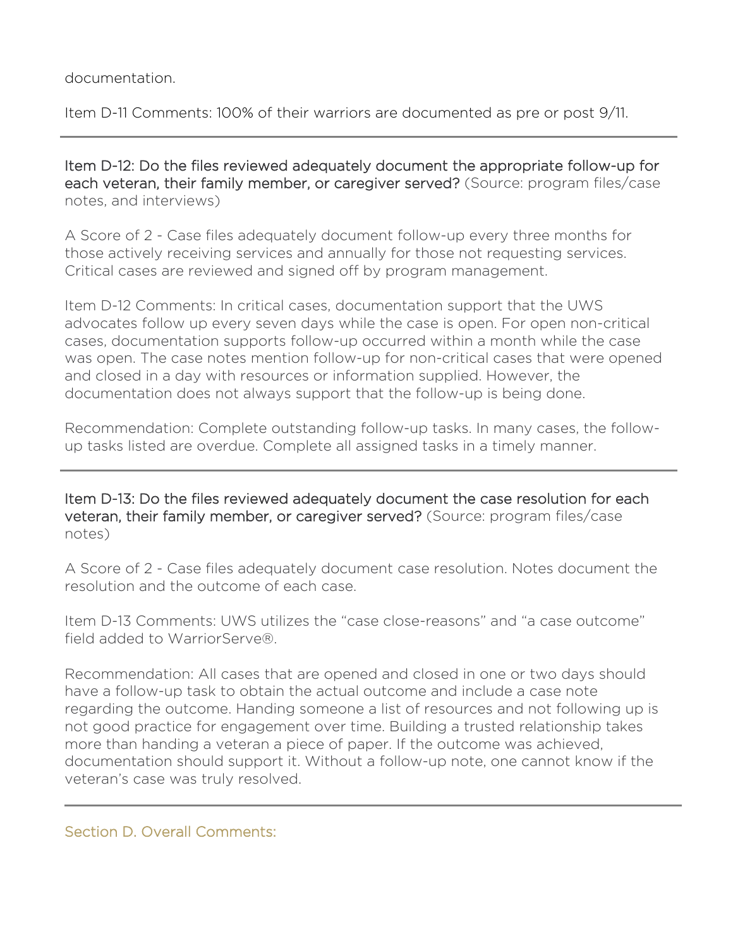#### documentation.

Item D-11 Comments: 100% of their warriors are documented as pre or post 9/11.

Item D-12: Do the files reviewed adequately document the appropriate follow-up for each veteran, their family member, or caregiver served? (Source: program files/case notes, and interviews)

A Score of 2 - Case files adequately document follow-up every three months for those actively receiving services and annually for those not requesting services. Critical cases are reviewed and signed off by program management.

Item D-12 Comments: In critical cases, documentation support that the UWS advocates follow up every seven days while the case is open. For open non-critical cases, documentation supports follow-up occurred within a month while the case was open. The case notes mention follow-up for non-critical cases that were opened and closed in a day with resources or information supplied. However, the documentation does not always support that the follow-up is being done.

Recommendation: Complete outstanding follow-up tasks. In many cases, the followup tasks listed are overdue. Complete all assigned tasks in a timely manner.

Item D-13: Do the files reviewed adequately document the case resolution for each veteran, their family member, or caregiver served? (Source: program files/case notes)

A Score of 2 - Case files adequately document case resolution. Notes document the resolution and the outcome of each case.

Item D-13 Comments: UWS utilizes the "case close-reasons" and "a case outcome" field added to WarriorServe®.

Recommendation: All cases that are opened and closed in one or two days should have a follow-up task to obtain the actual outcome and include a case note regarding the outcome. Handing someone a list of resources and not following up is not good practice for engagement over time. Building a trusted relationship takes more than handing a veteran a piece of paper. If the outcome was achieved, documentation should support it. Without a follow-up note, one cannot know if the veteran's case was truly resolved.

#### Section D. Overall Comments: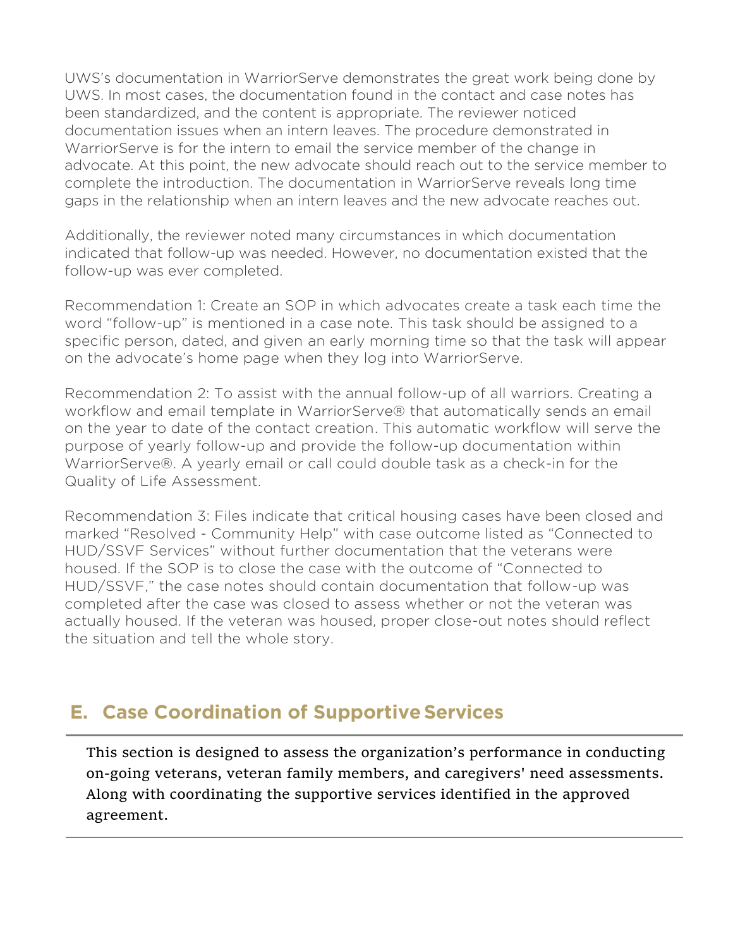UWS's documentation in WarriorServe demonstrates the great work being done by UWS. In most cases, the documentation found in the contact and case notes has been standardized, and the content is appropriate. The reviewer noticed documentation issues when an intern leaves. The procedure demonstrated in WarriorServe is for the intern to email the service member of the change in advocate. At this point, the new advocate should reach out to the service member to complete the introduction. The documentation in WarriorServe reveals long time gaps in the relationship when an intern leaves and the new advocate reaches out.

Additionally, the reviewer noted many circumstances in which documentation indicated that follow-up was needed. However, no documentation existed that the follow-up was ever completed.

Recommendation 1: Create an SOP in which advocates create a task each time the word "follow-up" is mentioned in a case note. This task should be assigned to a specific person, dated, and given an early morning time so that the task will appear on the advocate's home page when they log into WarriorServe.

Recommendation 2: To assist with the annual follow-up of all warriors. Creating a workflow and email template in WarriorServe® that automatically sends an email on the year to date of the contact creation. This automatic workflow will serve the purpose of yearly follow-up and provide the follow-up documentation within WarriorServe®. A yearly email or call could double task as a check-in for the Quality of Life Assessment.

Recommendation 3: Files indicate that critical housing cases have been closed and marked "Resolved - Community Help" with case outcome listed as "Connected to HUD/SSVF Services" without further documentation that the veterans were housed. If the SOP is to close the case with the outcome of "Connected to HUD/SSVF," the case notes should contain documentation that follow-up was completed after the case was closed to assess whether or not the veteran was actually housed. If the veteran was housed, proper close-out notes should reflect the situation and tell the whole story.

# **E. Case Coordination of Supportive Services**

This section is designed to assess the organization's performance in conducting on-going veterans, veteran family members, and caregivers' need assessments. Along with coordinating the supportive services identified in the approved agreement.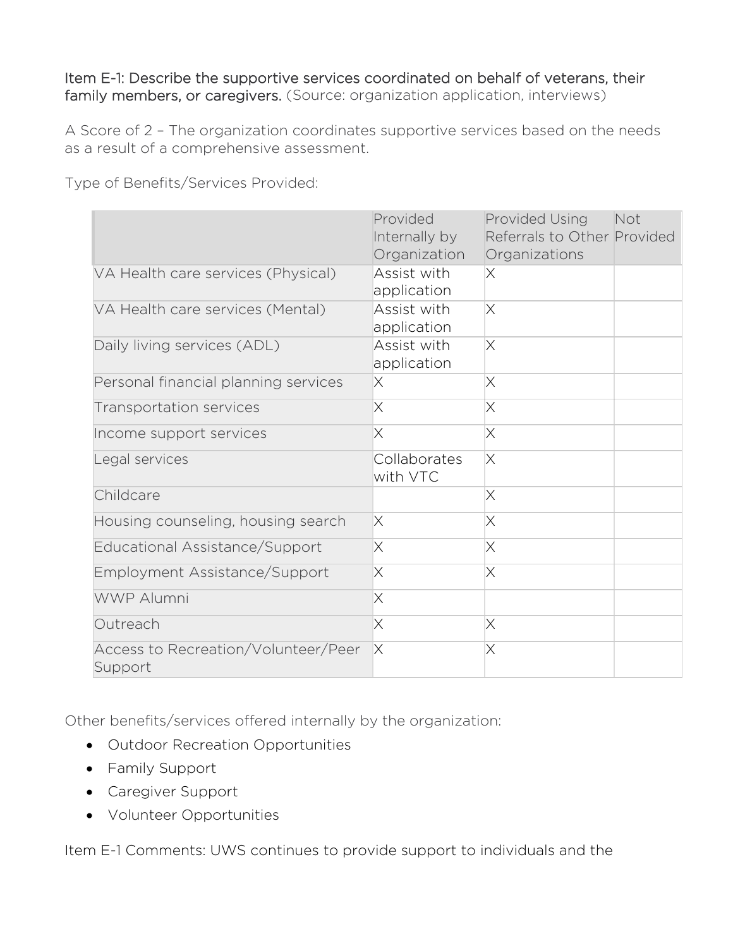### Item E-1: Describe the supportive services coordinated on behalf of veterans, their family members, or caregivers. (Source: organization application, interviews)

A Score of 2 – The organization coordinates supportive services based on the needs as a result of a comprehensive assessment.

Type of Benefits/Services Provided:

|                                                | Provided<br>Internally by<br>Organization | Provided Using<br>Referrals to Other Provided<br>Organizations | Not |
|------------------------------------------------|-------------------------------------------|----------------------------------------------------------------|-----|
| VA Health care services (Physical)             | Assist with<br>application                | X                                                              |     |
| VA Health care services (Mental)               | Assist with<br>application                | $\times$                                                       |     |
| Daily living services (ADL)                    | Assist with<br>application                | $\times$                                                       |     |
| Personal financial planning services           | Χ                                         | X                                                              |     |
| Transportation services                        | X                                         | $\times$                                                       |     |
| Income support services                        | X                                         | $\times$                                                       |     |
| Legal services                                 | Collaborates<br>with VTC                  | $\times$                                                       |     |
| Childcare                                      |                                           | $\times$                                                       |     |
| Housing counseling, housing search             | Χ                                         | $\times$                                                       |     |
| Educational Assistance/Support                 | X                                         | $\times$                                                       |     |
| Employment Assistance/Support                  | Χ                                         | $\times$                                                       |     |
| <b>WWP Alumni</b>                              | X                                         |                                                                |     |
| Outreach                                       | $\times$                                  | $\times$                                                       |     |
| Access to Recreation/Volunteer/Peer<br>Support | $\times$                                  | $\times$                                                       |     |

Other benefits/services offered internally by the organization:

- Outdoor Recreation Opportunities
- Family Support
- Caregiver Support
- Volunteer Opportunities

Item E-1 Comments: UWS continues to provide support to individuals and the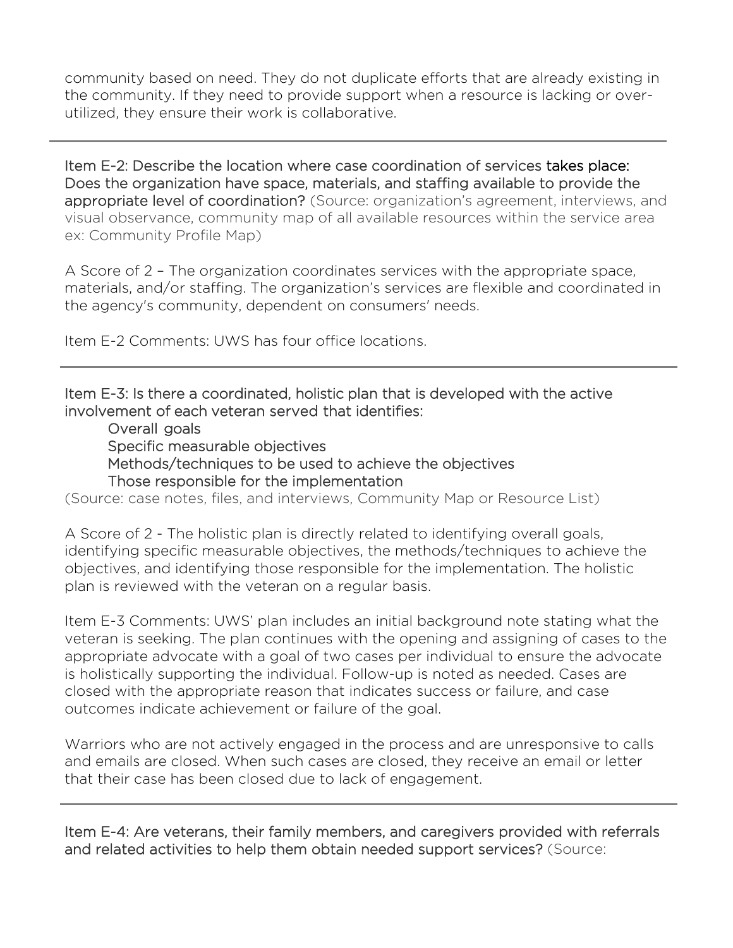community based on need. They do not duplicate efforts that are already existing in the community. If they need to provide support when a resource is lacking or overutilized, they ensure their work is collaborative.

Item E-2: Describe the location where case coordination of services takes place: Does the organization have space, materials, and staffing available to provide the appropriate level of coordination? (Source: organization's agreement, interviews, and visual observance, community map of all available resources within the service area ex: Community Profile Map)

A Score of 2 – The organization coordinates services with the appropriate space, materials, and/or staffing. The organization's services are flexible and coordinated in the agency's community, dependent on consumers' needs.

Item E-2 Comments: UWS has four office locations.

Item E-3: Is there a coordinated, holistic plan that is developed with the active involvement of each veteran served that identifies:

Overall goals Specific measurable objectives Methods/techniques to be used to achieve the objectives Those responsible for the implementation

(Source: case notes, files, and interviews, Community Map or Resource List)

A Score of 2 - The holistic plan is directly related to identifying overall goals, identifying specific measurable objectives, the methods/techniques to achieve the objectives, and identifying those responsible for the implementation. The holistic plan is reviewed with the veteran on a regular basis.

Item E-3 Comments: UWS' plan includes an initial background note stating what the veteran is seeking. The plan continues with the opening and assigning of cases to the appropriate advocate with a goal of two cases per individual to ensure the advocate is holistically supporting the individual. Follow-up is noted as needed. Cases are closed with the appropriate reason that indicates success or failure, and case outcomes indicate achievement or failure of the goal.

Warriors who are not actively engaged in the process and are unresponsive to calls and emails are closed. When such cases are closed, they receive an email or letter that their case has been closed due to lack of engagement.

Item E-4: Are veterans, their family members, and caregivers provided with referrals and related activities to help them obtain needed support services? (Source: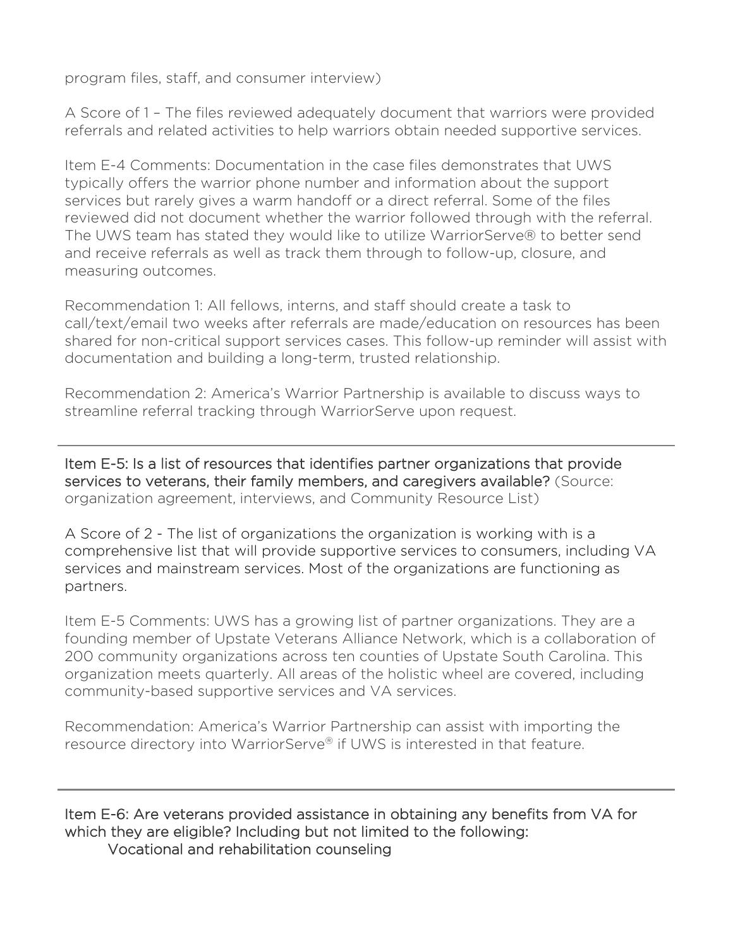program files, staff, and consumer interview)

A Score of 1 – The files reviewed adequately document that warriors were provided referrals and related activities to help warriors obtain needed supportive services.

Item E-4 Comments: Documentation in the case files demonstrates that UWS typically offers the warrior phone number and information about the support services but rarely gives a warm handoff or a direct referral. Some of the files reviewed did not document whether the warrior followed through with the referral. The UWS team has stated they would like to utilize WarriorServe® to better send and receive referrals as well as track them through to follow-up, closure, and measuring outcomes.

Recommendation 1: All fellows, interns, and staff should create a task to call/text/email two weeks after referrals are made/education on resources has been shared for non-critical support services cases. This follow-up reminder will assist with documentation and building a long-term, trusted relationship.

Recommendation 2: America's Warrior Partnership is available to discuss ways to streamline referral tracking through WarriorServe upon request.

Item E-5: Is a list of resources that identifies partner organizations that provide services to veterans, their family members, and caregivers available? (Source: organization agreement, interviews, and Community Resource List)

A Score of 2 - The list of organizations the organization is working with is a comprehensive list that will provide supportive services to consumers, including VA services and mainstream services. Most of the organizations are functioning as partners.

Item E-5 Comments: UWS has a growing list of partner organizations. They are a founding member of Upstate Veterans Alliance Network, which is a collaboration of 200 community organizations across ten counties of Upstate South Carolina. This organization meets quarterly. All areas of the holistic wheel are covered, including community-based supportive services and VA services.

Recommendation: America's Warrior Partnership can assist with importing the resource directory into WarriorServe® if UWS is interested in that feature.

Ī

Item E-6: Are veterans provided assistance in obtaining any benefits from VA for which they are eligible? Including but not limited to the following: Vocational and rehabilitation counseling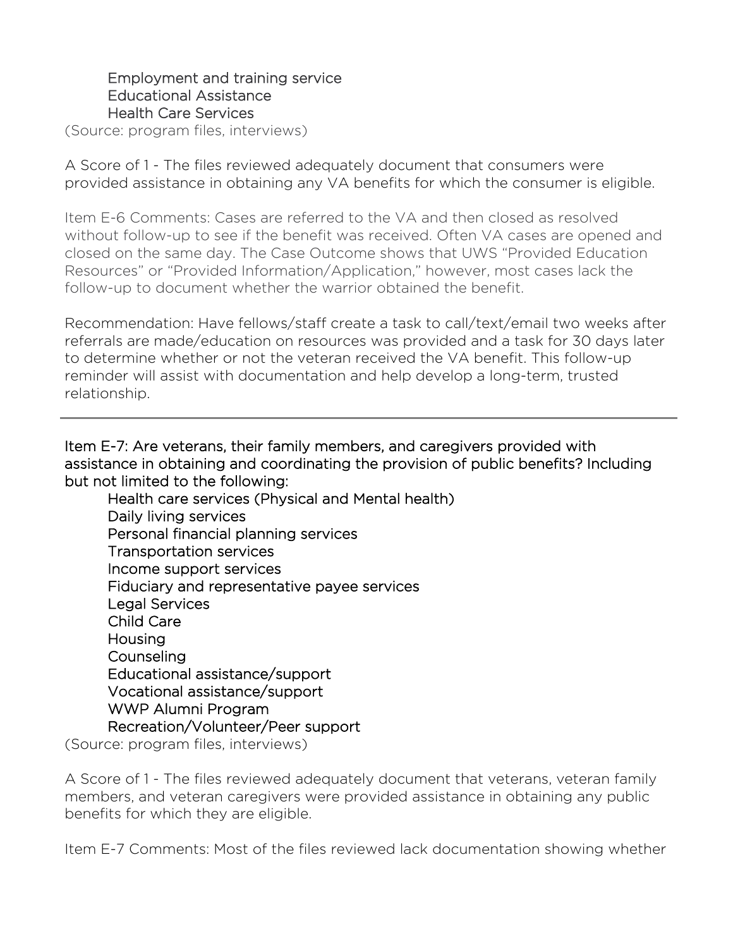### Employment and training service Educational Assistance Health Care Services

(Source: program files, interviews)

A Score of 1 - The files reviewed adequately document that consumers were provided assistance in obtaining any VA benefits for which the consumer is eligible.

Item E-6 Comments: Cases are referred to the VA and then closed as resolved without follow-up to see if the benefit was received. Often VA cases are opened and closed on the same day. The Case Outcome shows that UWS "Provided Education Resources" or "Provided Information/Application," however, most cases lack the follow-up to document whether the warrior obtained the benefit.

Recommendation: Have fellows/staff create a task to call/text/email two weeks after referrals are made/education on resources was provided and a task for 30 days later to determine whether or not the veteran received the VA benefit. This follow-up reminder will assist with documentation and help develop a long-term, trusted relationship.

Item E-7: Are veterans, their family members, and caregivers provided with assistance in obtaining and coordinating the provision of public benefits? Including but not limited to the following:

Health care services (Physical and Mental health) Daily living services Personal financial planning services Transportation services Income support services Fiduciary and representative payee services Legal Services Child Care **Housing Counseling** Educational assistance/support Vocational assistance/support WWP Alumni Program Recreation/Volunteer/Peer support

(Source: program files, interviews)

A Score of 1 - The files reviewed adequately document that veterans, veteran family members, and veteran caregivers were provided assistance in obtaining any public benefits for which they are eligible.

Item E-7 Comments: Most of the files reviewed lack documentation showing whether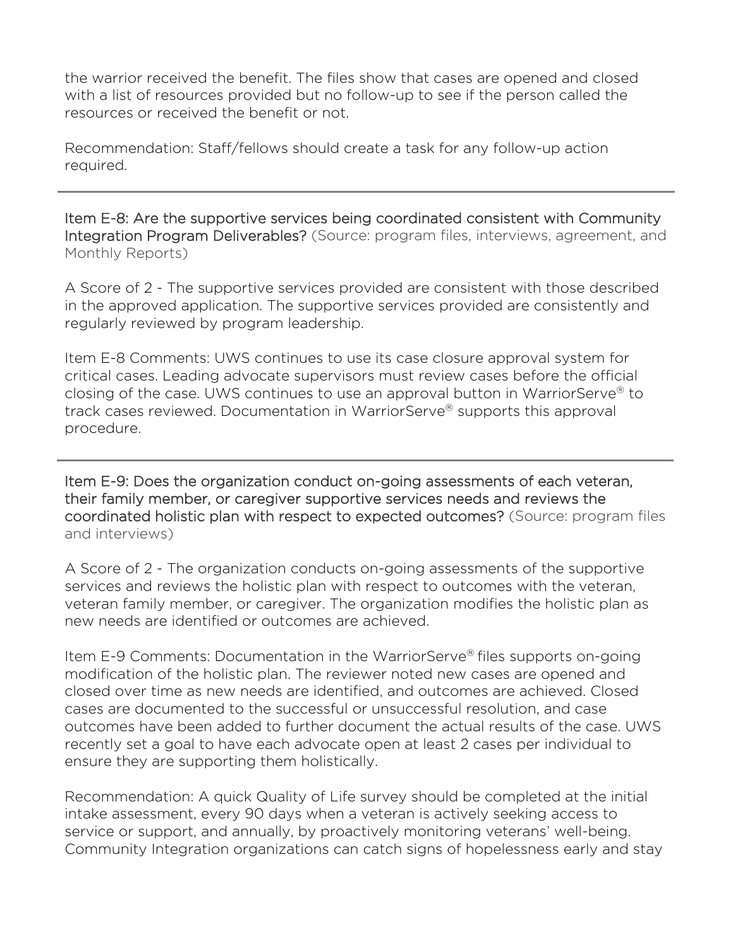the warrior received the benefit. The files show that cases are opened and closed with a list of resources provided but no follow-up to see if the person called the resources or received the benefit or not.

Recommendation: Staff/fellows should create a task for any follow-up action required.

Item E-8: Are the supportive services being coordinated consistent with Community Integration Program Deliverables? (Source: program files, interviews, agreement, and Monthly Reports)

A Score of 2 - The supportive services provided are consistent with those described in the approved application. The supportive services provided are consistently and regularly reviewed by program leadership.

Item E-8 Comments: UWS continues to use its case closure approval system for critical cases. Leading advocate supervisors must review cases before the official closing of the case. UWS continues to use an approval button in WarriorServe® to track cases reviewed. Documentation in WarriorServe® supports this approval procedure.

I

Item E-9: Does the organization conduct on-going assessments of each veteran, their family member, or caregiver supportive services needs and reviews the coordinated holistic plan with respect to expected outcomes? (Source: program files and interviews)

A Score of 2 - The organization conducts on-going assessments of the supportive services and reviews the holistic plan with respect to outcomes with the veteran, veteran family member, or caregiver. The organization modifies the holistic plan as new needs are identified or outcomes are achieved.

Item E-9 Comments: Documentation in the WarriorServe® files supports on-going modification of the holistic plan. The reviewer noted new cases are opened and closed over time as new needs are identified, and outcomes are achieved. Closed cases are documented to the successful or unsuccessful resolution, and case outcomes have been added to further document the actual results of the case. UWS recently set a goal to have each advocate open at least 2 cases per individual to ensure they are supporting them holistically.

Recommendation: A quick Quality of Life survey should be completed at the initial intake assessment, every 90 days when a veteran is actively seeking access to service or support, and annually, by proactively monitoring veterans' well-being. Community Integration organizations can catch signs of hopelessness early and stay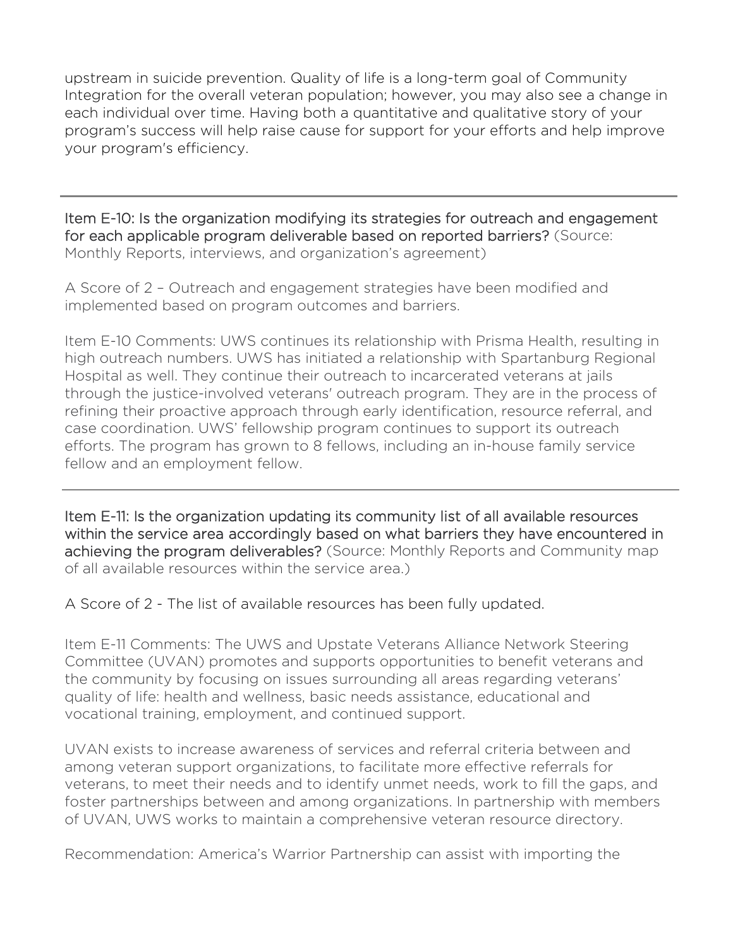upstream in suicide prevention. Quality of life is a long-term goal of Community Integration for the overall veteran population; however, you may also see a change in each individual over time. Having both a quantitative and qualitative story of your program's success will help raise cause for support for your efforts and help improve your program's efficiency.

Item E-10: Is the organization modifying its strategies for outreach and engagement for each applicable program deliverable based on reported barriers? (Source: Monthly Reports, interviews, and organization's agreement)

A Score of 2 – Outreach and engagement strategies have been modified and implemented based on program outcomes and barriers.

I

Item E-10 Comments: UWS continues its relationship with Prisma Health, resulting in high outreach numbers. UWS has initiated a relationship with Spartanburg Regional Hospital as well. They continue their outreach to incarcerated veterans at jails through the justice-involved veterans' outreach program. They are in the process of refining their proactive approach through early identification, resource referral, and case coordination. UWS' fellowship program continues to support its outreach efforts. The program has grown to 8 fellows, including an in-house family service fellow and an employment fellow.

Item E-11: Is the organization updating its community list of all available resources within the service area accordingly based on what barriers they have encountered in achieving the program deliverables? (Source: Monthly Reports and Community map of all available resources within the service area.)

A Score of 2 - The list of available resources has been fully updated.

Item E-11 Comments: The UWS and Upstate Veterans Alliance Network Steering Committee (UVAN) promotes and supports opportunities to benefit veterans and the community by focusing on issues surrounding all areas regarding veterans' quality of life: health and wellness, basic needs assistance, educational and vocational training, employment, and continued support.

UVAN exists to increase awareness of services and referral criteria between and among veteran support organizations, to facilitate more effective referrals for veterans, to meet their needs and to identify unmet needs, work to fill the gaps, and foster partnerships between and among organizations. In partnership with members of UVAN, UWS works to maintain a comprehensive veteran resource directory.

Recommendation: America's Warrior Partnership can assist with importing the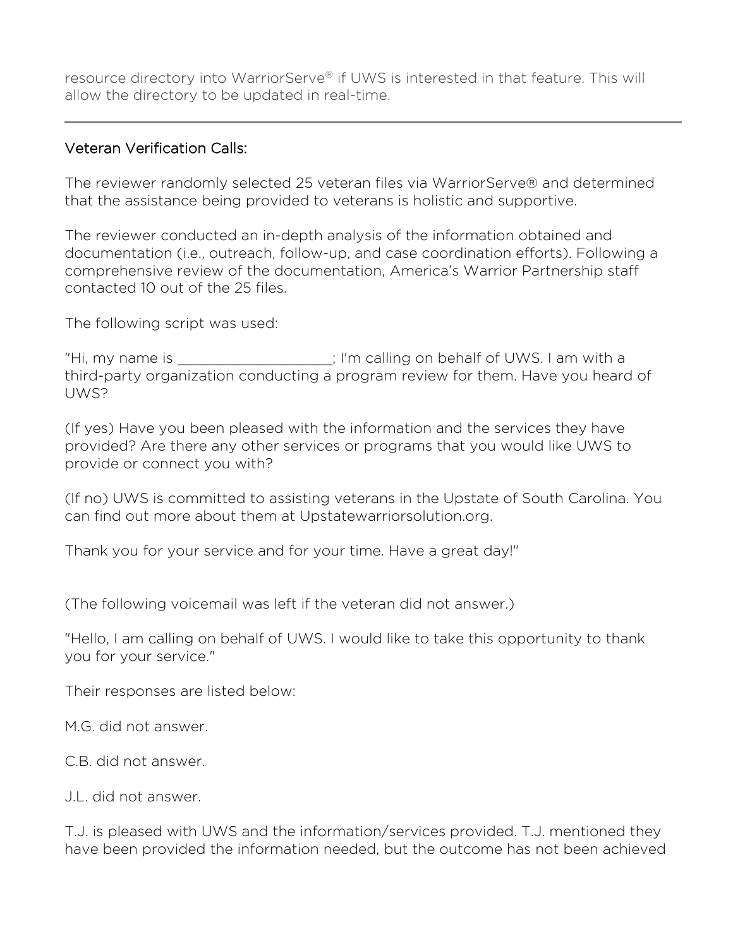resource directory into WarriorServe® if UWS is interested in that feature. This will allow the directory to be updated in real-time.

### Veteran Verification Calls:

The reviewer randomly selected 25 veteran files via WarriorServe® and determined that the assistance being provided to veterans is holistic and supportive.

The reviewer conducted an in-depth analysis of the information obtained and documentation (i.e., outreach, follow-up, and case coordination efforts). Following a comprehensive review of the documentation, America's Warrior Partnership staff contacted 10 out of the 25 files.

The following script was used:

"Hi, my name is \_\_\_\_\_\_\_\_\_\_\_\_\_\_\_\_\_\_; I'm calling on behalf of UWS. I am with a third-party organization conducting a program review for them. Have you heard of UWS?

(If yes) Have you been pleased with the information and the services they have provided? Are there any other services or programs that you would like UWS to provide or connect you with?

(If no) UWS is committed to assisting veterans in the Upstate of South Carolina. You can find out more about them at Upstatewarriorsolution.org.

Thank you for your service and for your time. Have a great day!"

(The following voicemail was left if the veteran did not answer.)

"Hello, I am calling on behalf of UWS. I would like to take this opportunity to thank you for your service."

Their responses are listed below:

M.G. did not answer.

C.B. did not answer.

J.L. did not answer.

T.J. is pleased with UWS and the information/services provided. T.J. mentioned they have been provided the information needed, but the outcome has not been achieved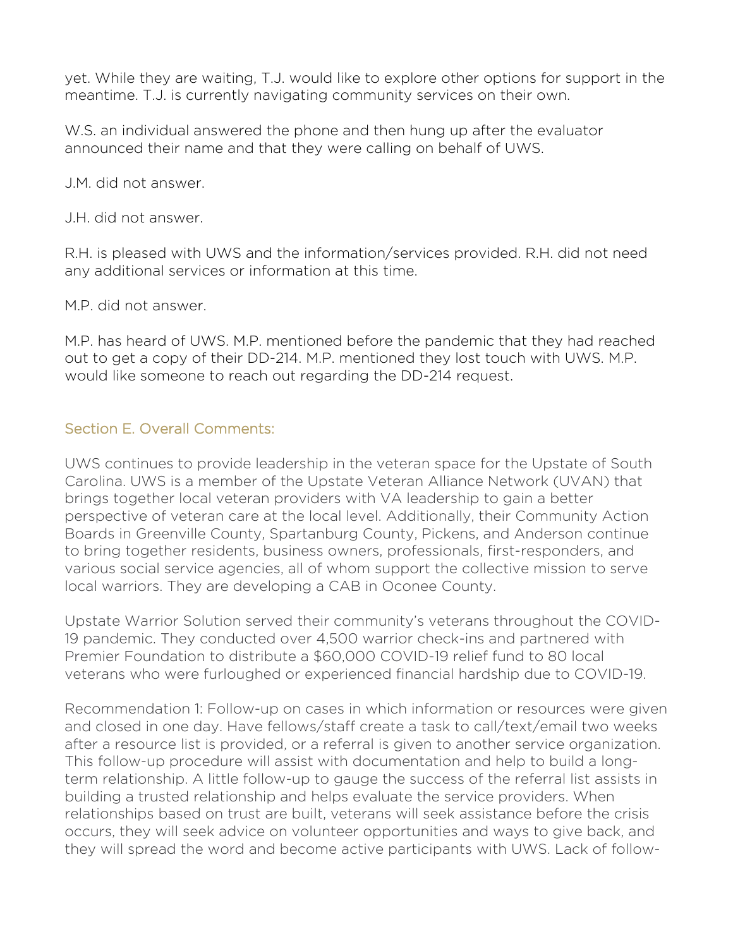yet. While they are waiting, T.J. would like to explore other options for support in the meantime. T.J. is currently navigating community services on their own.

W.S. an individual answered the phone and then hung up after the evaluator announced their name and that they were calling on behalf of UWS.

J.M. did not answer.

J.H. did not answer.

R.H. is pleased with UWS and the information/services provided. R.H. did not need any additional services or information at this time.

M.P. did not answer.

M.P. has heard of UWS. M.P. mentioned before the pandemic that they had reached out to get a copy of their DD-214. M.P. mentioned they lost touch with UWS. M.P. would like someone to reach out regarding the DD-214 request.

### Section E. Overall Comments:

UWS continues to provide leadership in the veteran space for the Upstate of South Carolina. UWS is a member of the Upstate Veteran Alliance Network (UVAN) that brings together local veteran providers with VA leadership to gain a better perspective of veteran care at the local level. Additionally, their Community Action Boards in Greenville County, Spartanburg County, Pickens, and Anderson continue to bring together residents, business owners, professionals, first-responders, and various social service agencies, all of whom support the collective mission to serve local warriors. They are developing a CAB in Oconee County.

Upstate Warrior Solution served their community's veterans throughout the COVID-19 pandemic. They conducted over 4,500 warrior check-ins and partnered with Premier Foundation to distribute a \$60,000 COVID-19 relief fund to 80 local veterans who were furloughed or experienced financial hardship due to COVID-19.

Recommendation 1: Follow-up on cases in which information or resources were given and closed in one day. Have fellows/staff create a task to call/text/email two weeks after a resource list is provided, or a referral is given to another service organization. This follow-up procedure will assist with documentation and help to build a longterm relationship. A little follow-up to gauge the success of the referral list assists in building a trusted relationship and helps evaluate the service providers. When relationships based on trust are built, veterans will seek assistance before the crisis occurs, they will seek advice on volunteer opportunities and ways to give back, and they will spread the word and become active participants with UWS. Lack of follow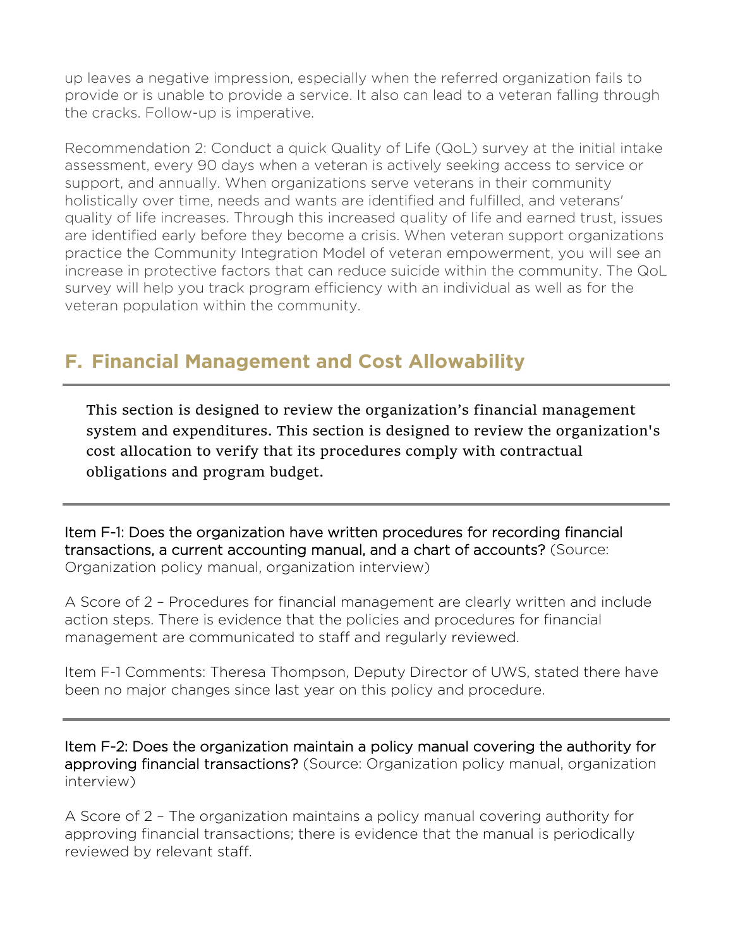up leaves a negative impression, especially when the referred organization fails to provide or is unable to provide a service. It also can lead to a veteran falling through the cracks. Follow-up is imperative.

Recommendation 2: Conduct a quick Quality of Life (QoL) survey at the initial intake assessment, every 90 days when a veteran is actively seeking access to service or support, and annually. When organizations serve veterans in their community holistically over time, needs and wants are identified and fulfilled, and veterans' quality of life increases. Through this increased quality of life and earned trust, issues are identified early before they become a crisis. When veteran support organizations practice the Community Integration Model of veteran empowerment, you will see an increase in protective factors that can reduce suicide within the community. The QoL survey will help you track program efficiency with an individual as well as for the veteran population within the community.

# **F. Financial Management and Cost Allowability**

This section is designed to review the organization's financial management system and expenditures. This section is designed to review the organization's cost allocation to verify that its procedures comply with contractual obligations and program budget.

Item F-1: Does the organization have written procedures for recording financial transactions, a current accounting manual, and a chart of accounts? (Source: Organization policy manual, organization interview)

A Score of 2 – Procedures for financial management are clearly written and include action steps. There is evidence that the policies and procedures for financial management are communicated to staff and regularly reviewed.

Item F-1 Comments: Theresa Thompson, Deputy Director of UWS, stated there have been no major changes since last year on this policy and procedure.

Item F-2: Does the organization maintain a policy manual covering the authority for approving financial transactions? (Source: Organization policy manual, organization interview)

A Score of 2 – The organization maintains a policy manual covering authority for approving financial transactions; there is evidence that the manual is periodically reviewed by relevant staff.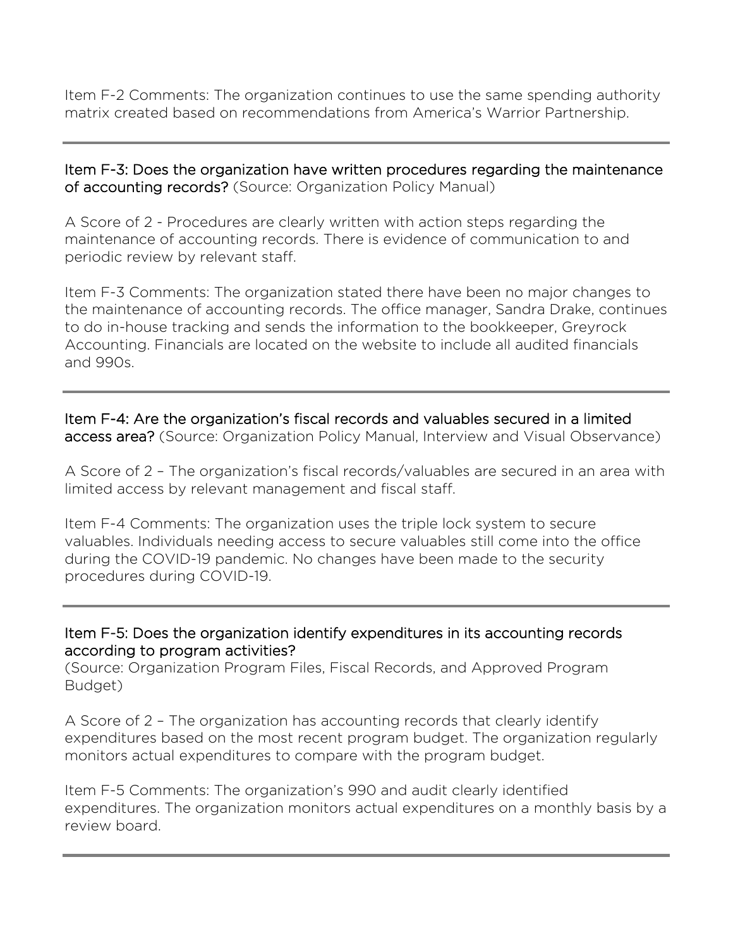Item F-2 Comments: The organization continues to use the same spending authority matrix created based on recommendations from America's Warrior Partnership.

Item F-3: Does the organization have written procedures regarding the maintenance of accounting records? (Source: Organization Policy Manual)

A Score of 2 - Procedures are clearly written with action steps regarding the maintenance of accounting records. There is evidence of communication to and periodic review by relevant staff.

Item F-3 Comments: The organization stated there have been no major changes to the maintenance of accounting records. The office manager, Sandra Drake, continues to do in-house tracking and sends the information to the bookkeeper, Greyrock Accounting. Financials are located on the website to include all audited financials and 990s.

Item F-4: Are the organization's fiscal records and valuables secured in a limited access area? (Source: Organization Policy Manual, Interview and Visual Observance)

A Score of 2 – The organization's fiscal records/valuables are secured in an area with limited access by relevant management and fiscal staff.

Item F-4 Comments: The organization uses the triple lock system to secure valuables. Individuals needing access to secure valuables still come into the office during the COVID-19 pandemic. No changes have been made to the security procedures during COVID-19.

Item F-5: Does the organization identify expenditures in its accounting records according to program activities?

(Source: Organization Program Files, Fiscal Records, and Approved Program Budget)

A Score of 2 – The organization has accounting records that clearly identify expenditures based on the most recent program budget. The organization regularly monitors actual expenditures to compare with the program budget.

Item F-5 Comments: The organization's 990 and audit clearly identified expenditures. The organization monitors actual expenditures on a monthly basis by a review board.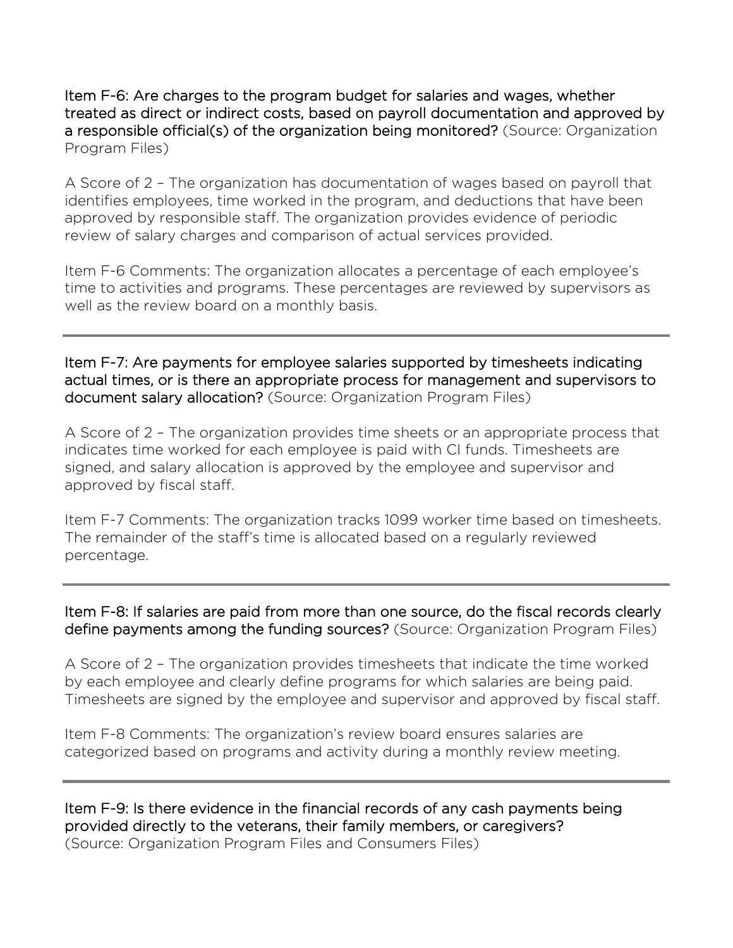Item F-6: Are charges to the program budget for salaries and wages, whether treated as direct or indirect costs, based on payroll documentation and approved by a responsible official(s) of the organization being monitored? (Source: Organization Program Files)

A Score of 2 – The organization has documentation of wages based on payroll that identifies employees, time worked in the program, and deductions that have been approved by responsible staff. The organization provides evidence of periodic review of salary charges and comparison of actual services provided.

Item F-6 Comments: The organization allocates a percentage of each employee's time to activities and programs. These percentages are reviewed by supervisors as well as the review board on a monthly basis.

Item F-7: Are payments for employee salaries supported by timesheets indicating actual times, or is there an appropriate process for management and supervisors to document salary allocation? (Source: Organization Program Files)

A Score of 2 – The organization provides time sheets or an appropriate process that indicates time worked for each employee is paid with CI funds. Timesheets are signed, and salary allocation is approved by the employee and supervisor and approved by fiscal staff.

Item F-7 Comments: The organization tracks 1099 worker time based on timesheets. The remainder of the staff's time is allocated based on a regularly reviewed percentage.

### Item F-8: If salaries are paid from more than one source, do the fiscal records clearly define payments among the funding sources? (Source: Organization Program Files)

A Score of 2 – The organization provides timesheets that indicate the time worked by each employee and clearly define programs for which salaries are being paid. Timesheets are signed by the employee and supervisor and approved by fiscal staff.

Item F-8 Comments: The organization's review board ensures salaries are categorized based on programs and activity during a monthly review meeting.

Item F-9: Is there evidence in the financial records of any cash payments being provided directly to the veterans, their family members, or caregivers? (Source: Organization Program Files and Consumers Files)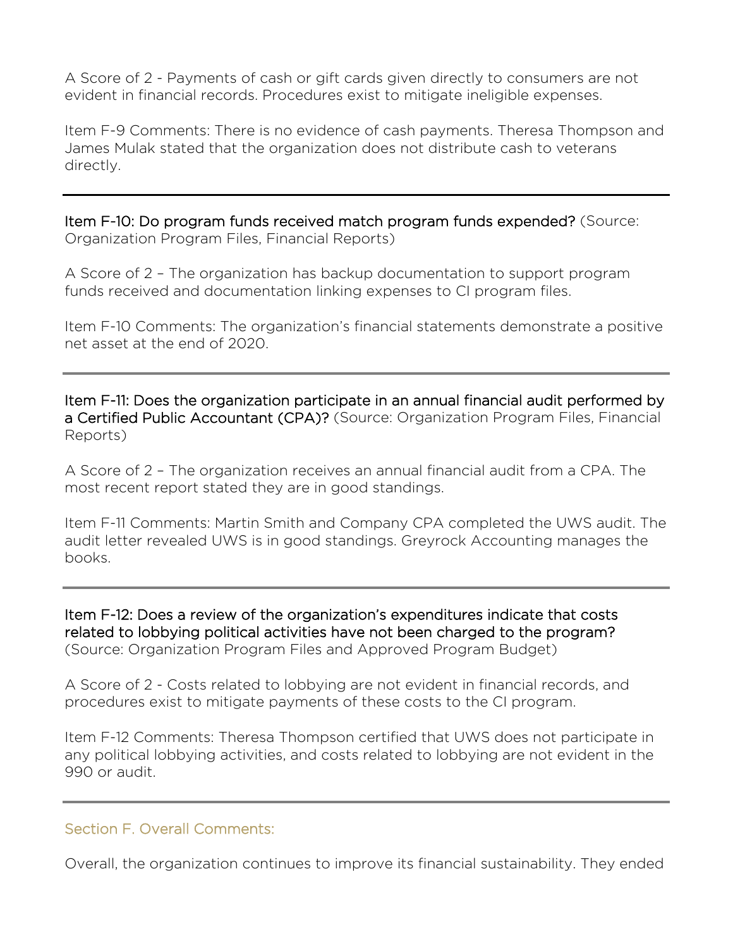A Score of 2 - Payments of cash or gift cards given directly to consumers are not evident in financial records. Procedures exist to mitigate ineligible expenses.

Item F-9 Comments: There is no evidence of cash payments. Theresa Thompson and James Mulak stated that the organization does not distribute cash to veterans directly.

Item F-10: Do program funds received match program funds expended? (Source: Organization Program Files, Financial Reports)

A Score of 2 – The organization has backup documentation to support program funds received and documentation linking expenses to CI program files.

Item F-10 Comments: The organization's financial statements demonstrate a positive net asset at the end of 2020.

Item F-11: Does the organization participate in an annual financial audit performed by a Certified Public Accountant (CPA)? (Source: Organization Program Files, Financial Reports)

A Score of 2 – The organization receives an annual financial audit from a CPA. The most recent report stated they are in good standings.

Item F-11 Comments: Martin Smith and Company CPA completed the UWS audit. The audit letter revealed UWS is in good standings. Greyrock Accounting manages the books.

Item F-12: Does a review of the organization's expenditures indicate that costs related to lobbying political activities have not been charged to the program? (Source: Organization Program Files and Approved Program Budget)

A Score of 2 - Costs related to lobbying are not evident in financial records, and procedures exist to mitigate payments of these costs to the CI program.

Item F-12 Comments: Theresa Thompson certified that UWS does not participate in any political lobbying activities, and costs related to lobbying are not evident in the 990 or audit.

### Section F. Overall Comments:

Overall, the organization continues to improve its financial sustainability. They ended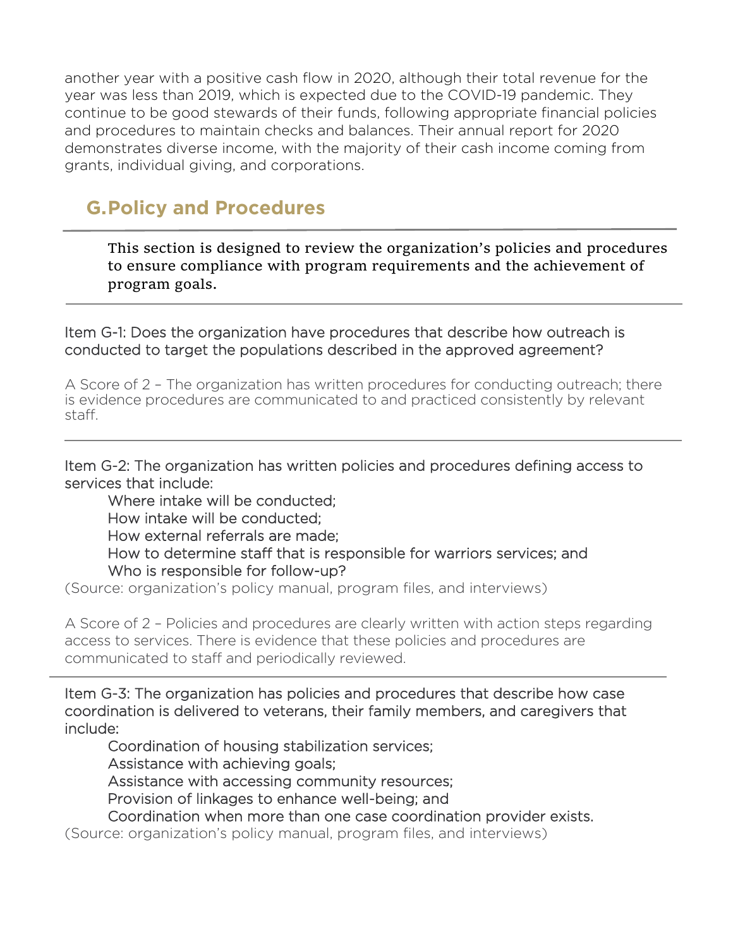another year with a positive cash flow in 2020, although their total revenue for the year was less than 2019, which is expected due to the COVID-19 pandemic. They continue to be good stewards of their funds, following appropriate financial policies and procedures to maintain checks and balances. Their annual report for 2020 demonstrates diverse income, with the majority of their cash income coming from grants, individual giving, and corporations.

# **G.Policy and Procedures**

Ξ

 $\overline{a}$ 

This section is designed to review the organization's policies and procedures to ensure compliance with program requirements and the achievement of program goals.

Item G-1: Does the organization have procedures that describe how outreach is conducted to target the populations described in the approved agreement?

A Score of 2 – The organization has written procedures for conducting outreach; there is evidence procedures are communicated to and practiced consistently by relevant staff.

Item G-2: The organization has written policies and procedures defining access to services that include:

Where intake will be conducted; How intake will be conducted; How external referrals are made; How to determine staff that is responsible for warriors services; and Who is responsible for follow-up?

(Source: organization's policy manual, program files, and interviews)

A Score of 2 – Policies and procedures are clearly written with action steps regarding access to services. There is evidence that these policies and procedures are communicated to staff and periodically reviewed.

Item G-3: The organization has policies and procedures that describe how case coordination is delivered to veterans, their family members, and caregivers that include:

Coordination of housing stabilization services; Assistance with achieving goals; Assistance with accessing community resources; Provision of linkages to enhance well-being; and

Coordination when more than one case coordination provider exists.

(Source: organization's policy manual, program files, and interviews)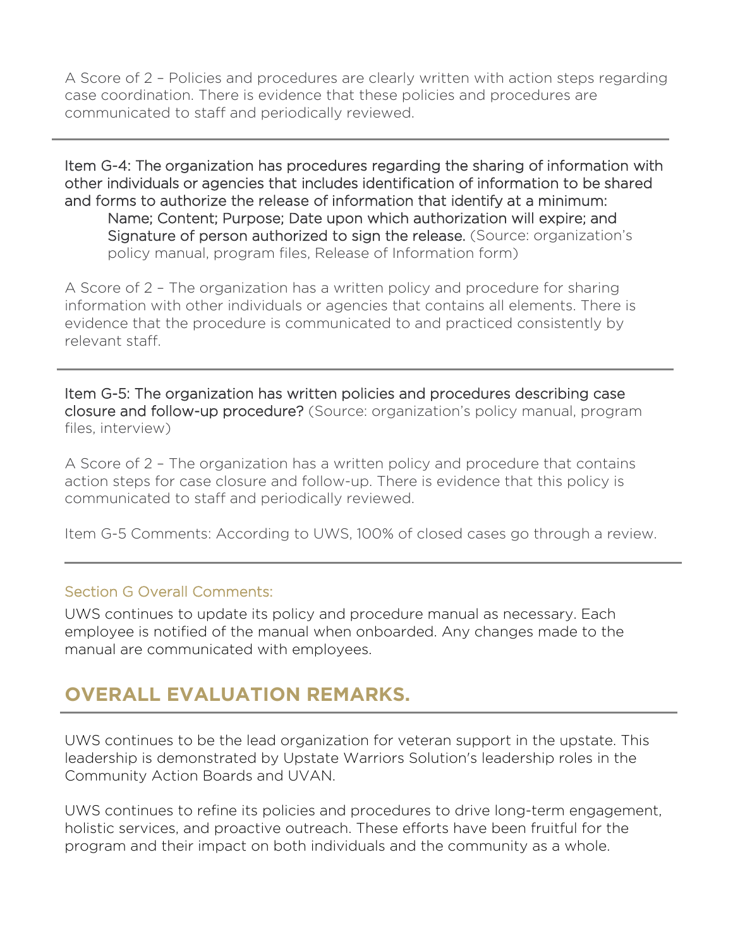A Score of 2 – Policies and procedures are clearly written with action steps regarding case coordination. There is evidence that these policies and procedures are communicated to staff and periodically reviewed.

Item G-4: The organization has procedures regarding the sharing of information with other individuals or agencies that includes identification of information to be shared and forms to authorize the release of information that identify at a minimum: Name; Content; Purpose; Date upon which authorization will expire; and Signature of person authorized to sign the release. (Source: organization's policy manual, program files, Release of Information form)

A Score of 2 – The organization has a written policy and procedure for sharing information with other individuals or agencies that contains all elements. There is evidence that the procedure is communicated to and practiced consistently by relevant staff.

Item G-5: The organization has written policies and procedures describing case closure and follow-up procedure? (Source: organization's policy manual, program files, interview)

A Score of 2 – The organization has a written policy and procedure that contains action steps for case closure and follow-up. There is evidence that this policy is communicated to staff and periodically reviewed.

Item G-5 Comments: According to UWS, 100% of closed cases go through a review.

### Section G Overall Comments:

Ξ

UWS continues to update its policy and procedure manual as necessary. Each employee is notified of the manual when onboarded. Any changes made to the manual are communicated with employees.

# **OVERALL EVALUATION REMARKS.**

UWS continues to be the lead organization for veteran support in the upstate. This leadership is demonstrated by Upstate Warriors Solution's leadership roles in the Community Action Boards and UVAN.

UWS continues to refine its policies and procedures to drive long-term engagement, holistic services, and proactive outreach. These efforts have been fruitful for the program and their impact on both individuals and the community as a whole.